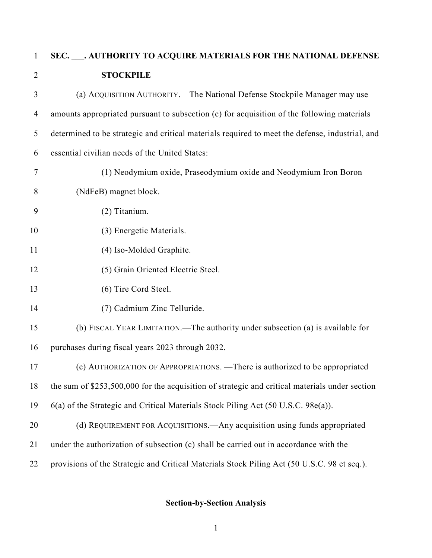# **SEC. \_\_\_. AUTHORITY TO ACQUIRE MATERIALS FOR THE NATIONAL DEFENSE STOCKPILE**

| 3              | (a) ACQUISITION AUTHORITY.—The National Defense Stockpile Manager may use                       |
|----------------|-------------------------------------------------------------------------------------------------|
| $\overline{4}$ | amounts appropriated pursuant to subsection (c) for acquisition of the following materials      |
| 5              | determined to be strategic and critical materials required to meet the defense, industrial, and |
| 6              | essential civilian needs of the United States:                                                  |
| 7              | (1) Neodymium oxide, Praseodymium oxide and Neodymium Iron Boron                                |
| 8              | (NdFeB) magnet block.                                                                           |
| 9              | (2) Titanium.                                                                                   |
| 10             | (3) Energetic Materials.                                                                        |
| 11             | (4) Iso-Molded Graphite.                                                                        |
| 12             | (5) Grain Oriented Electric Steel.                                                              |
| 13             | (6) Tire Cord Steel.                                                                            |
| 14             | (7) Cadmium Zinc Telluride.                                                                     |
| 15             | (b) FISCAL YEAR LIMITATION.—The authority under subsection (a) is available for                 |
| 16             | purchases during fiscal years 2023 through 2032.                                                |
| 17             | (c) AUTHORIZATION OF APPROPRIATIONS. - There is authorized to be appropriated                   |
| 18             | the sum of \$253,500,000 for the acquisition of strategic and critical materials under section  |
| 19             | 6(a) of the Strategic and Critical Materials Stock Piling Act (50 U.S.C. 98e(a)).               |
| 20             | (d) REQUIREMENT FOR ACQUISITIONS.—Any acquisition using funds appropriated                      |
| 21             | under the authorization of subsection (c) shall be carried out in accordance with the           |
| 22             | provisions of the Strategic and Critical Materials Stock Piling Act (50 U.S.C. 98 et seq.).     |

## **Section-by-Section Analysis**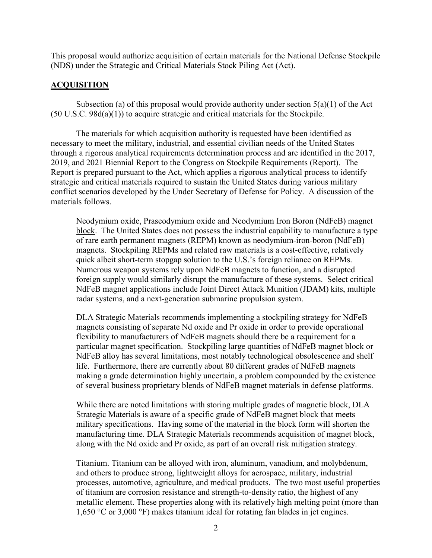This proposal would authorize acquisition of certain materials for the National Defense Stockpile (NDS) under the Strategic and Critical Materials Stock Piling Act (Act).

#### **ACQUISITION**

Subsection (a) of this proposal would provide authority under section  $5(a)(1)$  of the Act (50 U.S.C. 98d(a)(1)) to acquire strategic and critical materials for the Stockpile.

The materials for which acquisition authority is requested have been identified as necessary to meet the military, industrial, and essential civilian needs of the United States through a rigorous analytical requirements determination process and are identified in the 2017, 2019, and 2021 Biennial Report to the Congress on Stockpile Requirements (Report). The Report is prepared pursuant to the Act, which applies a rigorous analytical process to identify strategic and critical materials required to sustain the United States during various military conflict scenarios developed by the Under Secretary of Defense for Policy. A discussion of the materials follows.

Neodymium oxide, Praseodymium oxide and Neodymium Iron Boron (NdFeB) magnet block. The United States does not possess the industrial capability to manufacture a type of rare earth permanent magnets (REPM) known as neodymium-iron-boron (NdFeB) magnets. Stockpiling REPMs and related raw materials is a cost-effective, relatively quick albeit short-term stopgap solution to the U.S.'s foreign reliance on REPMs. Numerous weapon systems rely upon NdFeB magnets to function, and a disrupted foreign supply would similarly disrupt the manufacture of these systems. Select critical NdFeB magnet applications include Joint Direct Attack Munition (JDAM) kits, multiple radar systems, and a next-generation submarine propulsion system.

DLA Strategic Materials recommends implementing a stockpiling strategy for NdFeB magnets consisting of separate Nd oxide and Pr oxide in order to provide operational flexibility to manufacturers of NdFeB magnets should there be a requirement for a particular magnet specification. Stockpiling large quantities of NdFeB magnet block or NdFeB alloy has several limitations, most notably technological obsolescence and shelf life. Furthermore, there are currently about 80 different grades of NdFeB magnets making a grade determination highly uncertain, a problem compounded by the existence of several business proprietary blends of NdFeB magnet materials in defense platforms.

While there are noted limitations with storing multiple grades of magnetic block, DLA Strategic Materials is aware of a specific grade of NdFeB magnet block that meets military specifications. Having some of the material in the block form will shorten the manufacturing time. DLA Strategic Materials recommends acquisition of magnet block, along with the Nd oxide and Pr oxide, as part of an overall risk mitigation strategy.

Titanium. Titanium can be alloyed with iron, aluminum, vanadium, and molybdenum, and others to produce strong, lightweight alloys for aerospace, military, industrial processes, automotive, agriculture, and medical products. The two most useful properties of titanium are corrosion resistance and strength-to-density ratio, the highest of any metallic element. These properties along with its relatively high melting point (more than 1,650 °C or 3,000 °F) makes titanium ideal for rotating fan blades in jet engines.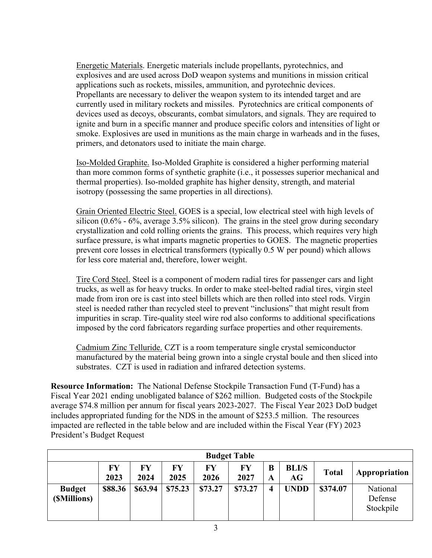Energetic Materials. Energetic materials include propellants, pyrotechnics, and explosives and are used across DoD weapon systems and munitions in mission critical applications such as rockets, missiles, ammunition, and pyrotechnic devices. Propellants are necessary to deliver the weapon system to its intended target and are currently used in military rockets and missiles. Pyrotechnics are critical components of devices used as decoys, obscurants, combat simulators, and signals. They are required to ignite and burn in a specific manner and produce specific colors and intensities of light or smoke. Explosives are used in munitions as the main charge in warheads and in the fuses, primers, and detonators used to initiate the main charge.

Iso-Molded Graphite. Iso-Molded Graphite is considered a higher performing material than more common forms of synthetic graphite (i.e., it possesses superior mechanical and thermal properties). Iso-molded graphite has higher density, strength, and material isotropy (possessing the same properties in all directions).

Grain Oriented Electric Steel. GOES is a special, low electrical steel with high levels of silicon  $(0.6\% - 6\%$ , average 3.5% silicon). The grains in the steel grow during secondary crystallization and cold rolling orients the grains. This process, which requires very high surface pressure, is what imparts magnetic properties to GOES. The magnetic properties prevent core losses in electrical transformers (typically 0.5 W per pound) which allows for less core material and, therefore, lower weight.

Tire Cord Steel. Steel is a component of modern radial tires for passenger cars and light trucks, as well as for heavy trucks. In order to make steel-belted radial tires, virgin steel made from iron ore is cast into steel billets which are then rolled into steel rods. Virgin steel is needed rather than recycled steel to prevent "inclusions" that might result from impurities in scrap. Tire-quality steel wire rod also conforms to additional specifications imposed by the cord fabricators regarding surface properties and other requirements.

Cadmium Zinc Telluride. CZT is a room temperature single crystal semiconductor manufactured by the material being grown into a single crystal boule and then sliced into substrates. CZT is used in radiation and infrared detection systems.

**Resource Information:** The National Defense Stockpile Transaction Fund (T-Fund) has a Fiscal Year 2021 ending unobligated balance of \$262 million. Budgeted costs of the Stockpile average \$74.8 million per annum for fiscal years 2023-2027. The Fiscal Year 2023 DoD budget includes appropriated funding for the NDS in the amount of \$253.5 million. The resources impacted are reflected in the table below and are included within the Fiscal Year (FY) 2023 President's Budget Request

|                                       | <b>Budget Table</b> |            |            |                   |            |        |                    |              |                                  |
|---------------------------------------|---------------------|------------|------------|-------------------|------------|--------|--------------------|--------------|----------------------------------|
|                                       | <b>FY</b><br>2023   | FY<br>2024 | FY<br>2025 | <b>FY</b><br>2026 | FY<br>2027 | B<br>A | <b>BLI/S</b><br>AG | <b>Total</b> | Appropriation                    |
| <b>Budget</b><br>( <i>SMillions</i> ) | \$88.36             | \$63.94    | \$75.23    | \$73.27           | \$73.27    | 4      | <b>UNDD</b>        | \$374.07     | National<br>Defense<br>Stockpile |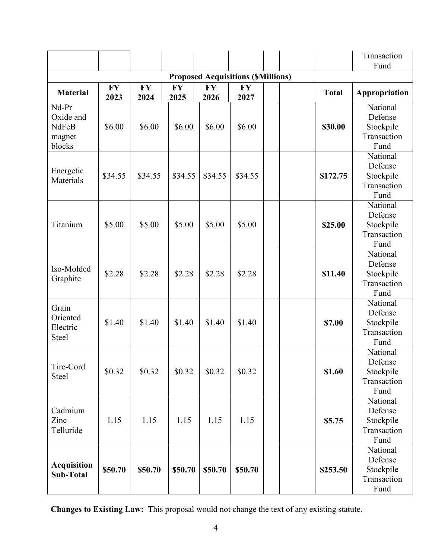|                                                 |               |         |         |         |                                          |  |          | Transaction<br>Fund                                     |
|-------------------------------------------------|---------------|---------|---------|---------|------------------------------------------|--|----------|---------------------------------------------------------|
|                                                 |               |         |         |         | <b>Proposed Acquisitions (SMillions)</b> |  |          |                                                         |
| <b>Material</b>                                 | Appropriation |         |         |         |                                          |  |          |                                                         |
| Nd-Pr<br>Oxide and<br>NdFeB<br>magnet<br>blocks | \$6.00        | \$6.00  | \$6.00  | \$6.00  | \$6.00                                   |  | \$30.00  | National<br>Defense<br>Stockpile<br>Transaction<br>Fund |
| Energetic<br>Materials                          | \$34.55       | \$34.55 | \$34.55 | \$34.55 | \$34.55                                  |  | \$172.75 | National<br>Defense<br>Stockpile<br>Transaction<br>Fund |
| Titanium                                        | \$5.00        | \$5.00  | \$5.00  | \$5.00  | \$5.00                                   |  | \$25.00  | National<br>Defense<br>Stockpile<br>Transaction<br>Fund |
| Iso-Molded<br>Graphite                          | \$2.28        | \$2.28  | \$2.28  | \$2.28  | \$2.28                                   |  | \$11.40  | National<br>Defense<br>Stockpile<br>Transaction<br>Fund |
| Grain<br>Oriented<br>Electric<br><b>Steel</b>   | \$1.40        | \$1.40  | \$1.40  | \$1.40  | \$1.40                                   |  | \$7.00   | National<br>Defense<br>Stockpile<br>Transaction<br>Fund |
| Tire-Cord<br><b>Steel</b>                       | \$0.32        | \$0.32  | \$0.32  | \$0.32  | \$0.32                                   |  | \$1.60   | National<br>Defense<br>Stockpile<br>Transaction<br>Fund |
| Cadmium<br>Zinc<br>Telluride                    | 1.15          | 1.15    | 1.15    | 1.15    | 1.15                                     |  | \$5.75   | National<br>Defense<br>Stockpile<br>Transaction<br>Fund |
| <b>Acquisition</b><br><b>Sub-Total</b>          | \$50.70       | \$50.70 | \$50.70 | \$50.70 | \$50.70                                  |  | \$253.50 | National<br>Defense<br>Stockpile<br>Transaction<br>Fund |

**Changes to Existing Law:** This proposal would not change the text of any existing statute.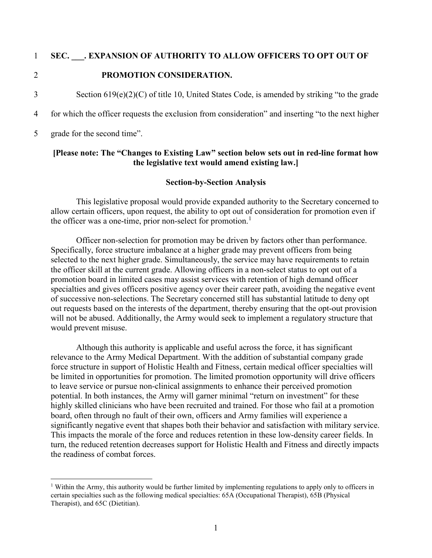#### 1 **SEC. \_\_\_. EXPANSION OF AUTHORITY TO ALLOW OFFICERS TO OPT OUT OF**

#### 2 **PROMOTION CONSIDERATION.**

3 Section 619(e)(2)(C) of title 10, United States Code, is amended by striking "to the grade

4 for which the officer requests the exclusion from consideration" and inserting "to the next higher

5 grade for the second time".

#### **[Please note: The "Changes to Existing Law" section below sets out in red-line format how the legislative text would amend existing law.]**

#### **Section-by-Section Analysis**

This legislative proposal would provide expanded authority to the Secretary concerned to allow certain officers, upon request, the ability to opt out of consideration for promotion even if the officer was a one-time, prior non-select for promotion.<sup>[1](#page-4-0)</sup>

Officer non-selection for promotion may be driven by factors other than performance. Specifically, force structure imbalance at a higher grade may prevent officers from being selected to the next higher grade. Simultaneously, the service may have requirements to retain the officer skill at the current grade. Allowing officers in a non-select status to opt out of a promotion board in limited cases may assist services with retention of high demand officer specialties and gives officers positive agency over their career path, avoiding the negative event of successive non-selections. The Secretary concerned still has substantial latitude to deny opt out requests based on the interests of the department, thereby ensuring that the opt-out provision will not be abused. Additionally, the Army would seek to implement a regulatory structure that would prevent misuse.

Although this authority is applicable and useful across the force, it has significant relevance to the Army Medical Department. With the addition of substantial company grade force structure in support of Holistic Health and Fitness, certain medical officer specialties will be limited in opportunities for promotion. The limited promotion opportunity will drive officers to leave service or pursue non-clinical assignments to enhance their perceived promotion potential. In both instances, the Army will garner minimal "return on investment" for these highly skilled clinicians who have been recruited and trained. For those who fail at a promotion board, often through no fault of their own, officers and Army families will experience a significantly negative event that shapes both their behavior and satisfaction with military service. This impacts the morale of the force and reduces retention in these low-density career fields. In turn, the reduced retention decreases support for Holistic Health and Fitness and directly impacts the readiness of combat forces.

<span id="page-4-0"></span><sup>&</sup>lt;sup>1</sup> Within the Army, this authority would be further limited by implementing regulations to apply only to officers in certain specialties such as the following medical specialties: 65A (Occupational Therapist), 65B (Physical Therapist), and 65C (Dietitian).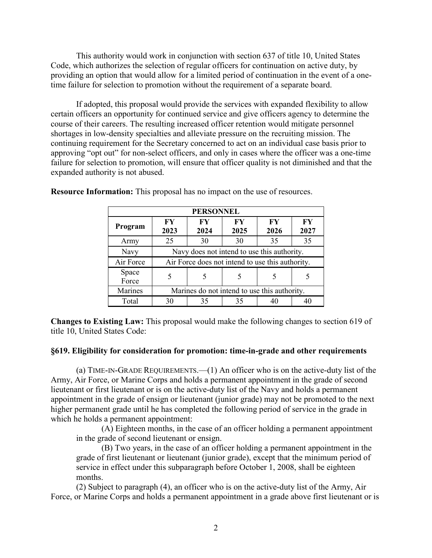This authority would work in conjunction with section 637 of title 10, United States Code, which authorizes the selection of regular officers for continuation on active duty, by providing an option that would allow for a limited period of continuation in the event of a onetime failure for selection to promotion without the requirement of a separate board.

If adopted, this proposal would provide the services with expanded flexibility to allow certain officers an opportunity for continued service and give officers agency to determine the course of their careers. The resulting increased officer retention would mitigate personnel shortages in low-density specialties and alleviate pressure on the recruiting mission. The continuing requirement for the Secretary concerned to act on an individual case basis prior to approving "opt out" for non-select officers, and only in cases where the officer was a one-time failure for selection to promotion, will ensure that officer quality is not diminished and that the expanded authority is not abused.

| <b>PERSONNEL</b> |                                                  |                   |                   |                   |            |  |  |
|------------------|--------------------------------------------------|-------------------|-------------------|-------------------|------------|--|--|
| Program          | $\bf{F}V$<br>2023                                | $\bf{F}V$<br>2024 | $\bf{F}V$<br>2025 | $\bf{F}V$<br>2026 | FY<br>2027 |  |  |
| Army             | 25                                               | 30                | 30                | 35                | 35         |  |  |
| Navy             | Navy does not intend to use this authority.      |                   |                   |                   |            |  |  |
| Air Force        | Air Force does not intend to use this authority. |                   |                   |                   |            |  |  |
| Space<br>Force   |                                                  |                   |                   |                   |            |  |  |
| <b>Marines</b>   | Marines do not intend to use this authority.     |                   |                   |                   |            |  |  |
| Total            | 30                                               | 35                | 35                |                   |            |  |  |

**Resource Information:** This proposal has no impact on the use of resources.

**Changes to Existing Law:** This proposal would make the following changes to section 619 of title 10, United States Code:

#### **§619. Eligibility for consideration for promotion: time-in-grade and other requirements**

(a) TIME-IN-GRADE REQUIREMENTS.—(1) An officer who is on the active-duty list of the Army, Air Force, or Marine Corps and holds a permanent appointment in the grade of second lieutenant or first lieutenant or is on the active-duty list of the Navy and holds a permanent appointment in the grade of ensign or lieutenant (junior grade) may not be promoted to the next higher permanent grade until he has completed the following period of service in the grade in which he holds a permanent appointment:

(A) Eighteen months, in the case of an officer holding a permanent appointment in the grade of second lieutenant or ensign.

(B) Two years, in the case of an officer holding a permanent appointment in the grade of first lieutenant or lieutenant (junior grade), except that the minimum period of service in effect under this subparagraph before October 1, 2008, shall be eighteen months.

(2) Subject to paragraph (4), an officer who is on the active-duty list of the Army, Air Force, or Marine Corps and holds a permanent appointment in a grade above first lieutenant or is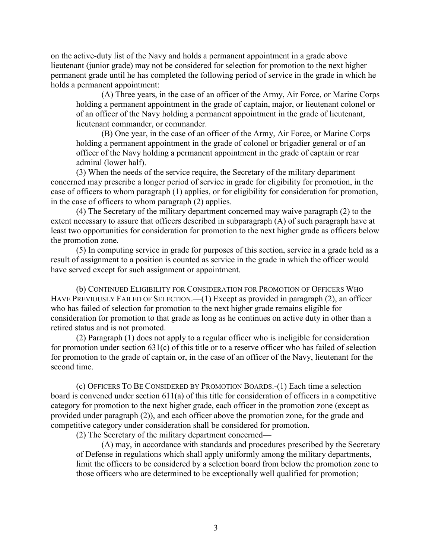on the active-duty list of the Navy and holds a permanent appointment in a grade above lieutenant (junior grade) may not be considered for selection for promotion to the next higher permanent grade until he has completed the following period of service in the grade in which he holds a permanent appointment:

(A) Three years, in the case of an officer of the Army, Air Force, or Marine Corps holding a permanent appointment in the grade of captain, major, or lieutenant colonel or of an officer of the Navy holding a permanent appointment in the grade of lieutenant, lieutenant commander, or commander.

(B) One year, in the case of an officer of the Army, Air Force, or Marine Corps holding a permanent appointment in the grade of colonel or brigadier general or of an officer of the Navy holding a permanent appointment in the grade of captain or rear admiral (lower half).

(3) When the needs of the service require, the Secretary of the military department concerned may prescribe a longer period of service in grade for eligibility for promotion, in the case of officers to whom paragraph (1) applies, or for eligibility for consideration for promotion, in the case of officers to whom paragraph (2) applies.

(4) The Secretary of the military department concerned may waive paragraph (2) to the extent necessary to assure that officers described in subparagraph (A) of such paragraph have at least two opportunities for consideration for promotion to the next higher grade as officers below the promotion zone.

(5) In computing service in grade for purposes of this section, service in a grade held as a result of assignment to a position is counted as service in the grade in which the officer would have served except for such assignment or appointment.

(b) CONTINUED ELIGIBILITY FOR CONSIDERATION FOR PROMOTION OF OFFICERS WHO HAVE PREVIOUSLY FAILED OF SELECTION.—(1) Except as provided in paragraph (2), an officer who has failed of selection for promotion to the next higher grade remains eligible for consideration for promotion to that grade as long as he continues on active duty in other than a retired status and is not promoted.

(2) Paragraph (1) does not apply to a regular officer who is ineligible for consideration for promotion under section 631(c) of this title or to a reserve officer who has failed of selection for promotion to the grade of captain or, in the case of an officer of the Navy, lieutenant for the second time.

(c) OFFICERS TO BE CONSIDERED BY PROMOTION BOARDS.-(1) Each time a selection board is convened under section  $611(a)$  of this title for consideration of officers in a competitive category for promotion to the next higher grade, each officer in the promotion zone (except as provided under paragraph (2)), and each officer above the promotion zone, for the grade and competitive category under consideration shall be considered for promotion.

(2) The Secretary of the military department concerned—

(A) may, in accordance with standards and procedures prescribed by the Secretary of Defense in regulations which shall apply uniformly among the military departments, limit the officers to be considered by a selection board from below the promotion zone to those officers who are determined to be exceptionally well qualified for promotion;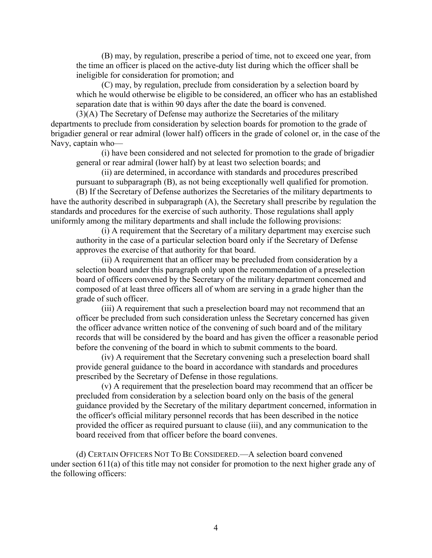(B) may, by regulation, prescribe a period of time, not to exceed one year, from the time an officer is placed on the active-duty list during which the officer shall be ineligible for consideration for promotion; and

(C) may, by regulation, preclude from consideration by a selection board by which he would otherwise be eligible to be considered, an officer who has an established separation date that is within 90 days after the date the board is convened.

(3)(A) The Secretary of Defense may authorize the Secretaries of the military departments to preclude from consideration by selection boards for promotion to the grade of brigadier general or rear admiral (lower half) officers in the grade of colonel or, in the case of the Navy, captain who—

(i) have been considered and not selected for promotion to the grade of brigadier general or rear admiral (lower half) by at least two selection boards; and

(ii) are determined, in accordance with standards and procedures prescribed pursuant to subparagraph (B), as not being exceptionally well qualified for promotion.

(B) If the Secretary of Defense authorizes the Secretaries of the military departments to have the authority described in subparagraph (A), the Secretary shall prescribe by regulation the standards and procedures for the exercise of such authority. Those regulations shall apply uniformly among the military departments and shall include the following provisions:

(i) A requirement that the Secretary of a military department may exercise such authority in the case of a particular selection board only if the Secretary of Defense approves the exercise of that authority for that board.

(ii) A requirement that an officer may be precluded from consideration by a selection board under this paragraph only upon the recommendation of a preselection board of officers convened by the Secretary of the military department concerned and composed of at least three officers all of whom are serving in a grade higher than the grade of such officer.

(iii) A requirement that such a preselection board may not recommend that an officer be precluded from such consideration unless the Secretary concerned has given the officer advance written notice of the convening of such board and of the military records that will be considered by the board and has given the officer a reasonable period before the convening of the board in which to submit comments to the board.

(iv) A requirement that the Secretary convening such a preselection board shall provide general guidance to the board in accordance with standards and procedures prescribed by the Secretary of Defense in those regulations.

(v) A requirement that the preselection board may recommend that an officer be precluded from consideration by a selection board only on the basis of the general guidance provided by the Secretary of the military department concerned, information in the officer's official military personnel records that has been described in the notice provided the officer as required pursuant to clause (iii), and any communication to the board received from that officer before the board convenes.

(d) CERTAIN OFFICERS NOT TO BE CONSIDERED.—A selection board convened under section 611(a) of this title may not consider for promotion to the next higher grade any of the following officers: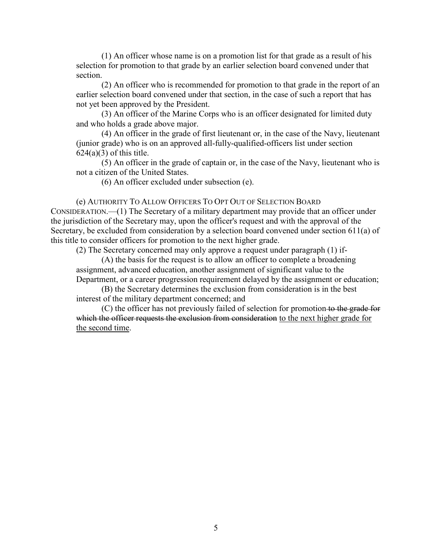(1) An officer whose name is on a promotion list for that grade as a result of his selection for promotion to that grade by an earlier selection board convened under that section.

(2) An officer who is recommended for promotion to that grade in the report of an earlier selection board convened under that section, in the case of such a report that has not yet been approved by the President.

(3) An officer of the Marine Corps who is an officer designated for limited duty and who holds a grade above major.

(4) An officer in the grade of first lieutenant or, in the case of the Navy, lieutenant (junior grade) who is on an approved all-fully-qualified-officers list under section  $624(a)(3)$  of this title.

(5) An officer in the grade of captain or, in the case of the Navy, lieutenant who is not a citizen of the United States.

(6) An officer excluded under subsection (e).

(e) AUTHORITY TO ALLOW OFFICERS TO OPT OUT OF SELECTION BOARD

CONSIDERATION.—(1) The Secretary of a military department may provide that an officer under the jurisdiction of the Secretary may, upon the officer's request and with the approval of the Secretary, be excluded from consideration by a selection board convened under section 611(a) of this title to consider officers for promotion to the next higher grade.

(2) The Secretary concerned may only approve a request under paragraph (1) if-

(A) the basis for the request is to allow an officer to complete a broadening assignment, advanced education, another assignment of significant value to the Department, or a career progression requirement delayed by the assignment or education;

(B) the Secretary determines the exclusion from consideration is in the best interest of the military department concerned; and

(C) the officer has not previously failed of selection for promotion to the grade for which the officer requests the exclusion from consideration to the next higher grade for the second time.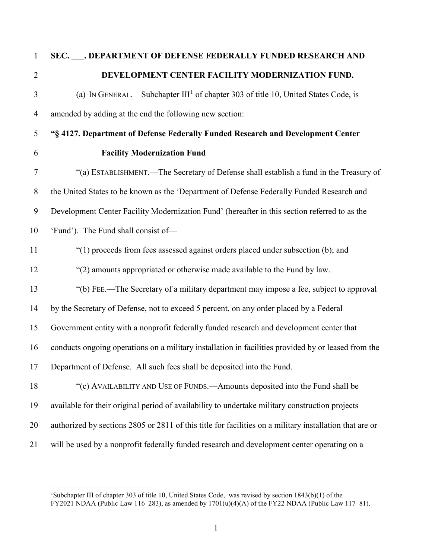**SEC. \_\_\_. DEPARTMENT OF DEFENSE FEDERALLY FUNDED RESEARCH AND DEVELOPMENT CENTER FACILITY MODERNIZATION FUND.**  $\alpha$  (a) IN GENERAL.—Subchapter III<sup>[1](#page-9-0)</sup> of chapter 303 of title 10, United States Code, is amended by adding at the end the following new section: **"§ 4127. Department of Defense Federally Funded Research and Development Center Facility Modernization Fund** "(a) ESTABLISHMENT.—The Secretary of Defense shall establish a fund in the Treasury of the United States to be known as the 'Department of Defense Federally Funded Research and Development Center Facility Modernization Fund' (hereafter in this section referred to as the 'Fund'). The Fund shall consist of— "(1) proceeds from fees assessed against orders placed under subsection (b); and "(2) amounts appropriated or otherwise made available to the Fund by law. "(b) FEE.—The Secretary of a military department may impose a fee, subject to approval by the Secretary of Defense, not to exceed 5 percent, on any order placed by a Federal Government entity with a nonprofit federally funded research and development center that conducts ongoing operations on a military installation in facilities provided by or leased from the Department of Defense. All such fees shall be deposited into the Fund. "(c) AVAILABILITY AND USE OF FUNDS.—Amounts deposited into the Fund shall be available for their original period of availability to undertake military construction projects authorized by sections 2805 or 2811 of this title for facilities on a military installation that are or will be used by a nonprofit federally funded research and development center operating on a

<span id="page-9-0"></span> $\frac{1}{1}$ <sup>1</sup>Subchapter III of chapter 303 of title 10, United States Code, was revised by section  $1843(b)(1)$  of the FY2021 NDAA (Public Law 116–283), as amended by  $1701(u)(4)(A)$  of the FY22 NDAA (Public Law 117–81).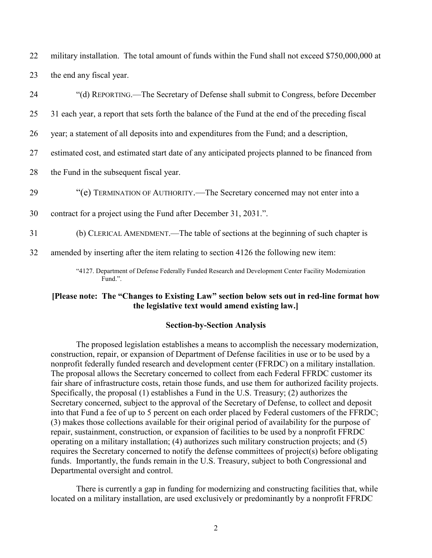22 military installation. The total amount of funds within the Fund shall not exceed \$750,000,000 at 23 the end any fiscal year.

| 24 | "(d) REPORTING.—The Secretary of Defense shall submit to Congress, before December                              |
|----|-----------------------------------------------------------------------------------------------------------------|
| 25 | 31 each year, a report that sets forth the balance of the Fund at the end of the preceding fiscal               |
| 26 | year; a statement of all deposits into and expenditures from the Fund; and a description,                       |
| 27 | estimated cost, and estimated start date of any anticipated projects planned to be financed from                |
| 28 | the Fund in the subsequent fiscal year.                                                                         |
| 29 | "(e) TERMINATION OF AUTHORITY.—The Secretary concerned may not enter into a                                     |
| 30 | contract for a project using the Fund after December 31, 2031.".                                                |
| 31 | (b) CLERICAL AMENDMENT.—The table of sections at the beginning of such chapter is                               |
| 32 | amended by inserting after the item relating to section 4126 the following new item:                            |
|    | "4127. Department of Defense Federally Funded Research and Development Center Facility Modernization<br>Fund.". |

#### **[Please note: The "Changes to Existing Law" section below sets out in red-line format how the legislative text would amend existing law.]**

#### **Section-by-Section Analysis**

The proposed legislation establishes a means to accomplish the necessary modernization, construction, repair, or expansion of Department of Defense facilities in use or to be used by a nonprofit federally funded research and development center (FFRDC) on a military installation. The proposal allows the Secretary concerned to collect from each Federal FFRDC customer its fair share of infrastructure costs, retain those funds, and use them for authorized facility projects. Specifically, the proposal (1) establishes a Fund in the U.S. Treasury; (2) authorizes the Secretary concerned, subject to the approval of the Secretary of Defense, to collect and deposit into that Fund a fee of up to 5 percent on each order placed by Federal customers of the FFRDC; (3) makes those collections available for their original period of availability for the purpose of repair, sustainment, construction, or expansion of facilities to be used by a nonprofit FFRDC operating on a military installation; (4) authorizes such military construction projects; and (5) requires the Secretary concerned to notify the defense committees of project(s) before obligating funds. Importantly, the funds remain in the U.S. Treasury, subject to both Congressional and Departmental oversight and control.

There is currently a gap in funding for modernizing and constructing facilities that, while located on a military installation, are used exclusively or predominantly by a nonprofit FFRDC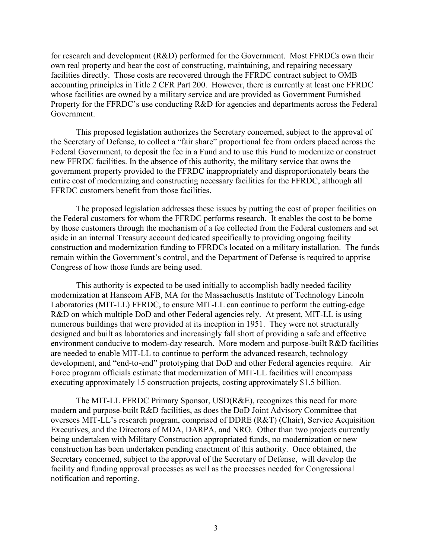for research and development (R&D) performed for the Government. Most FFRDCs own their own real property and bear the cost of constructing, maintaining, and repairing necessary facilities directly. Those costs are recovered through the FFRDC contract subject to OMB accounting principles in Title 2 CFR Part 200. However, there is currently at least one FFRDC whose facilities are owned by a military service and are provided as Government Furnished Property for the FFRDC's use conducting R&D for agencies and departments across the Federal Government.

This proposed legislation authorizes the Secretary concerned, subject to the approval of the Secretary of Defense, to collect a "fair share" proportional fee from orders placed across the Federal Government, to deposit the fee in a Fund and to use this Fund to modernize or construct new FFRDC facilities. In the absence of this authority, the military service that owns the government property provided to the FFRDC inappropriately and disproportionately bears the entire cost of modernizing and constructing necessary facilities for the FFRDC, although all FFRDC customers benefit from those facilities.

The proposed legislation addresses these issues by putting the cost of proper facilities on the Federal customers for whom the FFRDC performs research. It enables the cost to be borne by those customers through the mechanism of a fee collected from the Federal customers and set aside in an internal Treasury account dedicated specifically to providing ongoing facility construction and modernization funding to FFRDCs located on a military installation. The funds remain within the Government's control, and the Department of Defense is required to apprise Congress of how those funds are being used.

This authority is expected to be used initially to accomplish badly needed facility modernization at Hanscom AFB, MA for the Massachusetts Institute of Technology Lincoln Laboratories (MIT-LL) FFRDC, to ensure MIT-LL can continue to perform the cutting-edge R&D on which multiple DoD and other Federal agencies rely. At present, MIT-LL is using numerous buildings that were provided at its inception in 1951. They were not structurally designed and built as laboratories and increasingly fall short of providing a safe and effective environment conducive to modern-day research. More modern and purpose-built R&D facilities are needed to enable MIT-LL to continue to perform the advanced research, technology development, and "end-to-end" prototyping that DoD and other Federal agencies require. Air Force program officials estimate that modernization of MIT-LL facilities will encompass executing approximately 15 construction projects, costing approximately \$1.5 billion.

The MIT-LL FFRDC Primary Sponsor, USD(R&E), recognizes this need for more modern and purpose-built R&D facilities, as does the DoD Joint Advisory Committee that oversees MIT-LL's research program, comprised of DDRE (R&T) (Chair), Service Acquisition Executives, and the Directors of MDA, DARPA, and NRO. Other than two projects currently being undertaken with Military Construction appropriated funds, no modernization or new construction has been undertaken pending enactment of this authority. Once obtained, the Secretary concerned, subject to the approval of the Secretary of Defense, will develop the facility and funding approval processes as well as the processes needed for Congressional notification and reporting.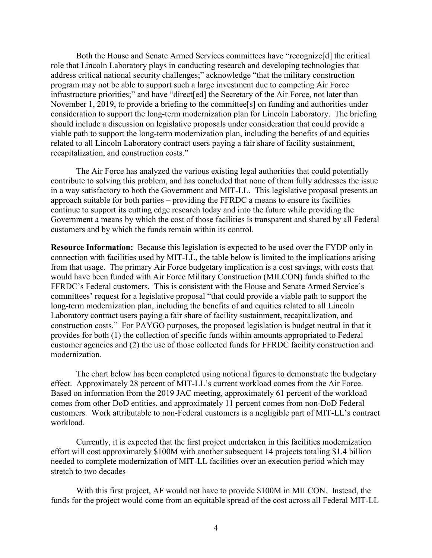Both the House and Senate Armed Services committees have "recognize[d] the critical role that Lincoln Laboratory plays in conducting research and developing technologies that address critical national security challenges;" acknowledge "that the military construction program may not be able to support such a large investment due to competing Air Force infrastructure priorities;" and have "direct[ed] the Secretary of the Air Force, not later than November 1, 2019, to provide a briefing to the committee<sup>[s]</sup> on funding and authorities under consideration to support the long-term modernization plan for Lincoln Laboratory. The briefing should include a discussion on legislative proposals under consideration that could provide a viable path to support the long-term modernization plan, including the benefits of and equities related to all Lincoln Laboratory contract users paying a fair share of facility sustainment, recapitalization, and construction costs."

The Air Force has analyzed the various existing legal authorities that could potentially contribute to solving this problem, and has concluded that none of them fully addresses the issue in a way satisfactory to both the Government and MIT-LL. This legislative proposal presents an approach suitable for both parties – providing the FFRDC a means to ensure its facilities continue to support its cutting edge research today and into the future while providing the Government a means by which the cost of those facilities is transparent and shared by all Federal customers and by which the funds remain within its control.

**Resource Information:** Because this legislation is expected to be used over the FYDP only in connection with facilities used by MIT-LL, the table below is limited to the implications arising from that usage. The primary Air Force budgetary implication is a cost savings, with costs that would have been funded with Air Force Military Construction (MILCON) funds shifted to the FFRDC's Federal customers. This is consistent with the House and Senate Armed Service's committees' request for a legislative proposal "that could provide a viable path to support the long-term modernization plan, including the benefits of and equities related to all Lincoln Laboratory contract users paying a fair share of facility sustainment, recapitalization, and construction costs." For PAYGO purposes, the proposed legislation is budget neutral in that it provides for both (1) the collection of specific funds within amounts appropriated to Federal customer agencies and (2) the use of those collected funds for FFRDC facility construction and modernization.

The chart below has been completed using notional figures to demonstrate the budgetary effect. Approximately 28 percent of MIT-LL's current workload comes from the Air Force. Based on information from the 2019 JAC meeting, approximately 61 percent of the workload comes from other DoD entities, and approximately 11 percent comes from non-DoD Federal customers. Work attributable to non-Federal customers is a negligible part of MIT-LL's contract workload.

Currently, it is expected that the first project undertaken in this facilities modernization effort will cost approximately \$100M with another subsequent 14 projects totaling \$1.4 billion needed to complete modernization of MIT-LL facilities over an execution period which may stretch to two decades

With this first project, AF would not have to provide \$100M in MILCON. Instead, the funds for the project would come from an equitable spread of the cost across all Federal MIT-LL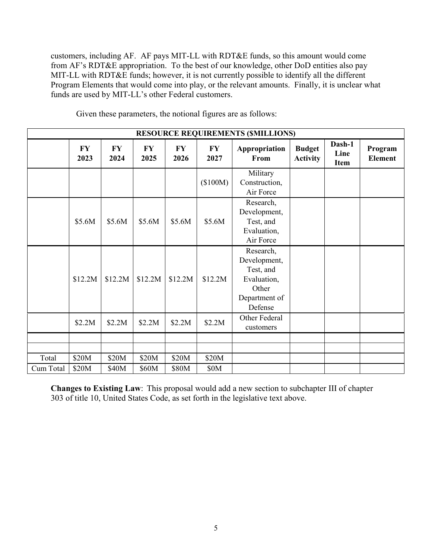customers, including AF. AF pays MIT-LL with RDT&E funds, so this amount would come from AF's RDT&E appropriation. To the best of our knowledge, other DoD entities also pay MIT-LL with RDT&E funds; however, it is not currently possible to identify all the different Program Elements that would come into play, or the relevant amounts. Finally, it is unclear what funds are used by MIT-LL's other Federal customers.

|           | <b>RESOURCE REQUIREMENTS (\$MILLIONS)</b> |                   |                   |                   |                   |                                                                                            |                                  |                               |                           |
|-----------|-------------------------------------------|-------------------|-------------------|-------------------|-------------------|--------------------------------------------------------------------------------------------|----------------------------------|-------------------------------|---------------------------|
|           | <b>FY</b><br>2023                         | <b>FY</b><br>2024 | <b>FY</b><br>2025 | <b>FY</b><br>2026 | <b>FY</b><br>2027 | Appropriation<br>From                                                                      | <b>Budget</b><br><b>Activity</b> | Dash-1<br>Line<br><b>Item</b> | Program<br><b>Element</b> |
|           |                                           |                   |                   |                   | (\$100M)          | Military<br>Construction,<br>Air Force                                                     |                                  |                               |                           |
|           | \$5.6M                                    | \$5.6M            | \$5.6M            | \$5.6M            | \$5.6M            | Research,<br>Development,<br>Test, and<br>Evaluation,<br>Air Force                         |                                  |                               |                           |
|           | \$12.2M                                   | \$12.2M           | \$12.2M           | \$12.2M           | \$12.2M           | Research,<br>Development,<br>Test, and<br>Evaluation,<br>Other<br>Department of<br>Defense |                                  |                               |                           |
|           | \$2.2M                                    | \$2.2M            | \$2.2M            | \$2.2M            | \$2.2M            | Other Federal<br>customers                                                                 |                                  |                               |                           |
|           |                                           |                   |                   |                   |                   |                                                                                            |                                  |                               |                           |
|           |                                           |                   |                   |                   |                   |                                                                                            |                                  |                               |                           |
| Total     | \$20M                                     | \$20M             | \$20M             | \$20M             | \$20M             |                                                                                            |                                  |                               |                           |
| Cum Total | \$20M                                     | \$40M             | \$60M             | \$80M             | \$0M              |                                                                                            |                                  |                               |                           |

Given these parameters, the notional figures are as follows:

**Changes to Existing Law**: This proposal would add a new section to subchapter III of chapter 303 of title 10, United States Code, as set forth in the legislative text above.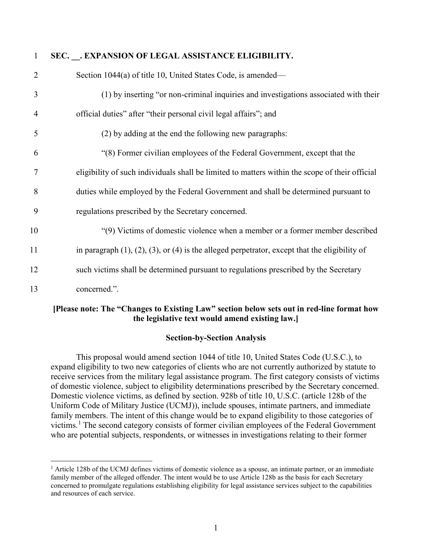| 1              | SEC. . EXPANSION OF LEGAL ASSISTANCE ELIGIBILITY.                                                        |
|----------------|----------------------------------------------------------------------------------------------------------|
| $\overline{2}$ | Section 1044(a) of title 10, United States Code, is amended—                                             |
| 3              | (1) by inserting "or non-criminal inquiries and investigations associated with their                     |
| $\overline{4}$ | official duties" after "their personal civil legal affairs"; and                                         |
| 5              | (2) by adding at the end the following new paragraphs:                                                   |
| 6              | "(8) Former civilian employees of the Federal Government, except that the                                |
| 7              | eligibility of such individuals shall be limited to matters within the scope of their official           |
| 8              | duties while employed by the Federal Government and shall be determined pursuant to                      |
| 9              | regulations prescribed by the Secretary concerned.                                                       |
| 10             | "(9) Victims of domestic violence when a member or a former member described                             |
| 11             | in paragraph $(1)$ , $(2)$ , $(3)$ , or $(4)$ is the alleged perpetrator, except that the eligibility of |
| 12             | such victims shall be determined pursuant to regulations prescribed by the Secretary                     |
| 13             | concerned.".                                                                                             |

#### **[Please note: The "Changes to Existing Law" section below sets out in red-line format how the legislative text would amend existing law.]**

#### **Section-by-Section Analysis**

This proposal would amend section 1044 of title 10, United States Code (U.S.C.), to expand eligibility to two new categories of clients who are not currently authorized by statute to receive services from the military legal assistance program. The first category consists of victims of domestic violence, subject to eligibility determinations prescribed by the Secretary concerned. Domestic violence victims, as defined by section. 928b of title 10, U.S.C. (article 128b of the Uniform Code of Military Justice (UCMJ)), include spouses, intimate partners, and immediate family members. The intent of this change would be to expand eligibility to those categories of victims.<sup>[1](#page-14-0)</sup> The second category consists of former civilian employees of the Federal Government who are potential subjects, respondents, or witnesses in investigations relating to their former

<span id="page-14-0"></span><sup>&</sup>lt;sup>1</sup> Article 128b of the UCMJ defines victims of domestic violence as a spouse, an intimate partner, or an immediate family member of the alleged offender. The intent would be to use Article 128b as the basis for each Secretary concerned to promulgate regulations establishing eligibility for legal assistance services subject to the capabilities and resources of each service.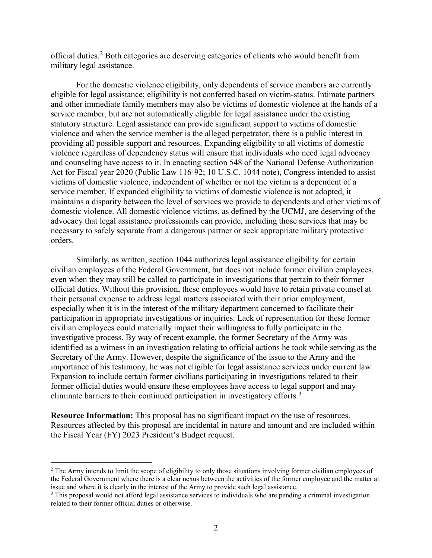official duties.[2](#page-15-0) Both categories are deserving categories of clients who would benefit from military legal assistance.

For the domestic violence eligibility, only dependents of service members are currently eligible for legal assistance; eligibility is not conferred based on victim-status. Intimate partners and other immediate family members may also be victims of domestic violence at the hands of a service member, but are not automatically eligible for legal assistance under the existing statutory structure. Legal assistance can provide significant support to victims of domestic violence and when the service member is the alleged perpetrator, there is a public interest in providing all possible support and resources. Expanding eligibility to all victims of domestic violence regardless of dependency status will ensure that individuals who need legal advocacy and counseling have access to it. In enacting section 548 of the National Defense Authorization Act for Fiscal year 2020 (Public Law 116-92; 10 U.S.C. 1044 note), Congress intended to assist victims of domestic violence, independent of whether or not the victim is a dependent of a service member. If expanded eligibility to victims of domestic violence is not adopted, it maintains a disparity between the level of services we provide to dependents and other victims of domestic violence. All domestic violence victims, as defined by the UCMJ, are deserving of the advocacy that legal assistance professionals can provide, including those services that may be necessary to safely separate from a dangerous partner or seek appropriate military protective orders.

Similarly, as written, section 1044 authorizes legal assistance eligibility for certain civilian employees of the Federal Government, but does not include former civilian employees, even when they may still be called to participate in investigations that pertain to their former official duties. Without this provision, these employees would have to retain private counsel at their personal expense to address legal matters associated with their prior employment, especially when it is in the interest of the military department concerned to facilitate their participation in appropriate investigations or inquiries. Lack of representation for these former civilian employees could materially impact their willingness to fully participate in the investigative process. By way of recent example, the former Secretary of the Army was identified as a witness in an investigation relating to official actions he took while serving as the Secretary of the Army. However, despite the significance of the issue to the Army and the importance of his testimony, he was not eligible for legal assistance services under current law. Expansion to include certain former civilians participating in investigations related to their former official duties would ensure these employees have access to legal support and may eliminate barriers to their continued participation in investigatory efforts.<sup>[3](#page-15-1)</sup>

**Resource Information:** This proposal has no significant impact on the use of resources. Resources affected by this proposal are incidental in nature and amount and are included within the Fiscal Year (FY) 2023 President's Budget request.

<span id="page-15-0"></span><sup>&</sup>lt;sup>2</sup> The Army intends to limit the scope of eligibility to only those situations involving former civilian employees of the Federal Government where there is a clear nexus between the activities of the former employee and the matter at issue and where it is clearly in the interest of the Army to provide such legal assistance.

<span id="page-15-1"></span><sup>&</sup>lt;sup>3</sup> This proposal would not afford legal assistance services to individuals who are pending a criminal investigation related to their former official duties or otherwise.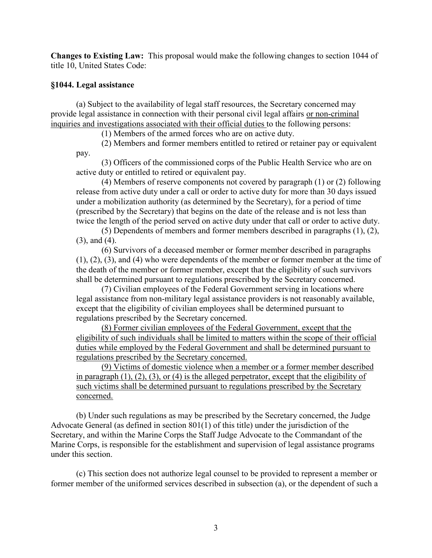**Changes to Existing Law:** This proposal would make the following changes to section 1044 of title 10, United States Code:

#### **§1044. Legal assistance**

(a) Subject to the availability of legal staff resources, the Secretary concerned may provide legal assistance in connection with their personal civil legal affairs or non-criminal inquiries and investigations associated with their official duties to the following persons:

(1) Members of the armed forces who are on active duty.

(2) Members and former members entitled to retired or retainer pay or equivalent pay.

(3) Officers of the commissioned corps of the Public Health Service who are on active duty or entitled to retired or equivalent pay.

(4) Members of reserve components not covered by paragraph (1) or (2) following release from active duty under a call or order to active duty for more than 30 days issued under a mobilization authority (as determined by the Secretary), for a period of time (prescribed by the Secretary) that begins on the date of the release and is not less than twice the length of the period served on active duty under that call or order to active duty.

(5) Dependents of members and former members described in paragraphs (1), (2), (3), and (4).

(6) Survivors of a deceased member or former member described in paragraphs (1), (2), (3), and (4) who were dependents of the member or former member at the time of the death of the member or former member, except that the eligibility of such survivors shall be determined pursuant to regulations prescribed by the Secretary concerned.

(7) Civilian employees of the Federal Government serving in locations where legal assistance from non-military legal assistance providers is not reasonably available, except that the eligibility of civilian employees shall be determined pursuant to regulations prescribed by the Secretary concerned.

(8) Former civilian employees of the Federal Government, except that the eligibility of such individuals shall be limited to matters within the scope of their official duties while employed by the Federal Government and shall be determined pursuant to regulations prescribed by the Secretary concerned.

(9) Victims of domestic violence when a member or a former member described in paragraph (1), (2), (3), or (4) is the alleged perpetrator, except that the eligibility of such victims shall be determined pursuant to regulations prescribed by the Secretary concerned.

(b) Under such regulations as may be prescribed by the Secretary concerned, the Judge Advocate General (as defined in section 801(1) of this title) under the jurisdiction of the Secretary, and within the Marine Corps the Staff Judge Advocate to the Commandant of the Marine Corps, is responsible for the establishment and supervision of legal assistance programs under this section.

(c) This section does not authorize legal counsel to be provided to represent a member or former member of the uniformed services described in subsection (a), or the dependent of such a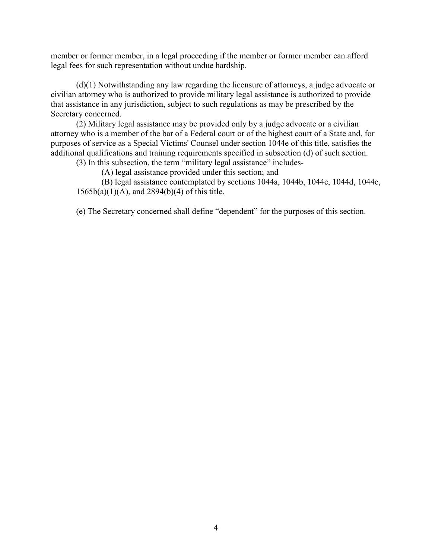member or former member, in a legal proceeding if the member or former member can afford legal fees for such representation without undue hardship.

(d)(1) Notwithstanding any law regarding the licensure of attorneys, a judge advocate or civilian attorney who is authorized to provide military legal assistance is authorized to provide that assistance in any jurisdiction, subject to such regulations as may be prescribed by the Secretary concerned.

(2) Military legal assistance may be provided only by a judge advocate or a civilian attorney who is a member of the bar of a Federal court or of the highest court of a State and, for purposes of service as a Special Victims' Counsel under section 1044e of this title, satisfies the additional qualifications and training requirements specified in subsection (d) of such section.

(3) In this subsection, the term "military legal assistance" includes-

(A) legal assistance provided under this section; and

(B) legal assistance contemplated by sections 1044a, 1044b, 1044c, 1044d, 1044e, 1565b(a)(1)(A), and 2894(b)(4) of this title.

(e) The Secretary concerned shall define "dependent" for the purposes of this section.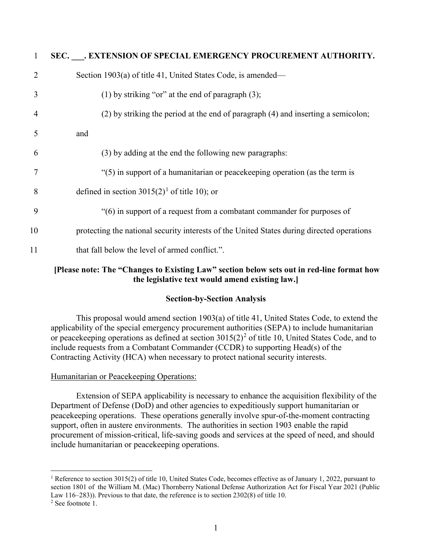| 1              | SEC. . EXTENSION OF SPECIAL EMERGENCY PROCUREMENT AUTHORITY.                               |
|----------------|--------------------------------------------------------------------------------------------|
| $\overline{2}$ | Section 1903(a) of title 41, United States Code, is amended—                               |
| 3              | (1) by striking "or" at the end of paragraph $(3)$ ;                                       |
| $\overline{4}$ | (2) by striking the period at the end of paragraph (4) and inserting a semicolon;          |
| 5              | and                                                                                        |
| 6              | (3) by adding at the end the following new paragraphs:                                     |
| 7              | "(5) in support of a humanitarian or peacekeeping operation (as the term is                |
| 8              | defined in section 3015(2) <sup>1</sup> of title 10); or                                   |
| 9              | "(6) in support of a request from a combatant commander for purposes of                    |
| 10             | protecting the national security interests of the United States during directed operations |
| 11             | that fall below the level of armed conflict.".                                             |
|                |                                                                                            |

#### **[Please note: The "Changes to Existing Law" section below sets out in red-line format how the legislative text would amend existing law.]**

#### **Section-by-Section Analysis**

This proposal would amend section 1903(a) of title 41, United States Code, to extend the applicability of the special emergency procurement authorities (SEPA) to include humanitarian or peacekeeping operations as defined at section  $3015(2)^2$  $3015(2)^2$  $3015(2)^2$  of title 10, United States Code, and to include requests from a Combatant Commander (CCDR) to supporting Head(s) of the Contracting Activity (HCA) when necessary to protect national security interests.

#### Humanitarian or Peacekeeping Operations:

Extension of SEPA applicability is necessary to enhance the acquisition flexibility of the Department of Defense (DoD) and other agencies to expeditiously support humanitarian or peacekeeping operations. These operations generally involve spur-of-the-moment contracting support, often in austere environments. The authorities in section 1903 enable the rapid procurement of mission-critical, life-saving goods and services at the speed of need, and should include humanitarian or peacekeeping operations.

<span id="page-18-0"></span><sup>&</sup>lt;sup>1</sup> Reference to section 3015(2) of title 10, United States Code, becomes effective as of January 1, 2022, pursuant to section 1801 of the William M. (Mac) Thornberry National Defense Authorization Act for Fiscal Year 2021 (Public Law 116–283)). Previous to that date, the reference is to section 2302(8) of title 10.  $2$  See footnote 1.

<span id="page-18-1"></span>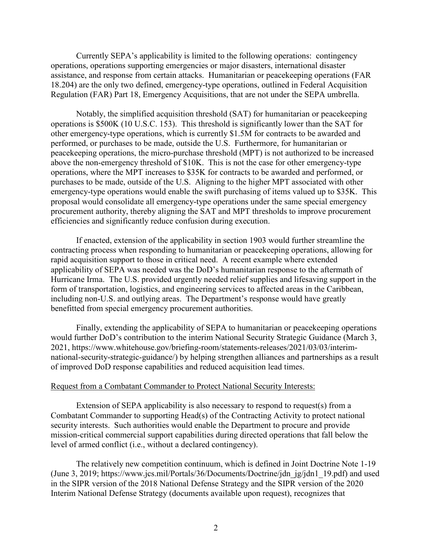Currently SEPA's applicability is limited to the following operations: contingency operations, operations supporting emergencies or major disasters, international disaster assistance, and response from certain attacks. Humanitarian or peacekeeping operations (FAR 18.204) are the only two defined, emergency-type operations, outlined in Federal Acquisition Regulation (FAR) Part 18, Emergency Acquisitions, that are not under the SEPA umbrella.

Notably, the simplified acquisition threshold (SAT) for humanitarian or peacekeeping operations is \$500K (10 U.S.C. 153). This threshold is significantly lower than the SAT for other emergency-type operations, which is currently \$1.5M for contracts to be awarded and performed, or purchases to be made, outside the U.S. Furthermore, for humanitarian or peacekeeping operations, the micro-purchase threshold (MPT) is not authorized to be increased above the non-emergency threshold of \$10K. This is not the case for other emergency-type operations, where the MPT increases to \$35K for contracts to be awarded and performed, or purchases to be made, outside of the U.S. Aligning to the higher MPT associated with other emergency-type operations would enable the swift purchasing of items valued up to \$35K. This proposal would consolidate all emergency-type operations under the same special emergency procurement authority, thereby aligning the SAT and MPT thresholds to improve procurement efficiencies and significantly reduce confusion during execution.

If enacted, extension of the applicability in section 1903 would further streamline the contracting process when responding to humanitarian or peacekeeping operations, allowing for rapid acquisition support to those in critical need. A recent example where extended applicability of SEPA was needed was the DoD's humanitarian response to the aftermath of Hurricane Irma. The U.S. provided urgently needed relief supplies and lifesaving support in the form of transportation, logistics, and engineering services to affected areas in the Caribbean, including non-U.S. and outlying areas. The Department's response would have greatly benefitted from special emergency procurement authorities.

Finally, extending the applicability of SEPA to humanitarian or peacekeeping operations would further DoD's contribution to the interim National Security Strategic Guidance (March 3, 2021, https://www.whitehouse.gov/briefing-room/statements-releases/2021/03/03/interimnational-security-strategic-guidance/) by helping strengthen alliances and partnerships as a result of improved DoD response capabilities and reduced acquisition lead times.

#### Request from a Combatant Commander to Protect National Security Interests:

Extension of SEPA applicability is also necessary to respond to request(s) from a Combatant Commander to supporting Head(s) of the Contracting Activity to protect national security interests. Such authorities would enable the Department to procure and provide mission-critical commercial support capabilities during directed operations that fall below the level of armed conflict (i.e., without a declared contingency).

The relatively new competition continuum, which is defined in Joint Doctrine Note 1-19 (June 3, 2019; https://www.jcs.mil/Portals/36/Documents/Doctrine/jdn\_jg/jdn1\_19.pdf) and used in the SIPR version of the 2018 National Defense Strategy and the SIPR version of the 2020 Interim National Defense Strategy (documents available upon request), recognizes that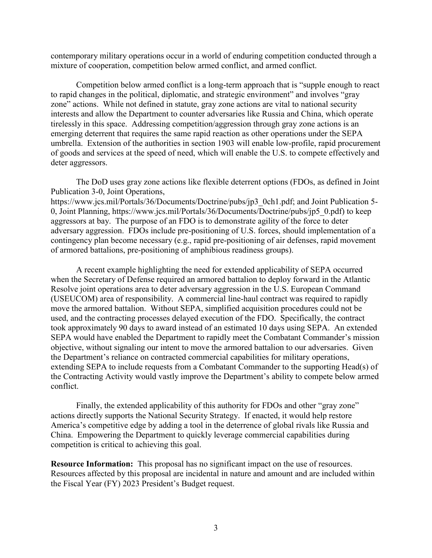contemporary military operations occur in a world of enduring competition conducted through a mixture of cooperation, competition below armed conflict, and armed conflict.

Competition below armed conflict is a long-term approach that is "supple enough to react to rapid changes in the political, diplomatic, and strategic environment" and involves "gray zone" actions. While not defined in statute, gray zone actions are vital to national security interests and allow the Department to counter adversaries like Russia and China, which operate tirelessly in this space. Addressing competition/aggression through gray zone actions is an emerging deterrent that requires the same rapid reaction as other operations under the SEPA umbrella. Extension of the authorities in section 1903 will enable low-profile, rapid procurement of goods and services at the speed of need, which will enable the U.S. to compete effectively and deter aggressors.

The DoD uses gray zone actions like flexible deterrent options (FDOs, as defined in Joint Publication 3-0, Joint Operations,

https://www.jcs.mil/Portals/36/Documents/Doctrine/pubs/jp3\_0ch1.pdf; and Joint Publication 5- 0, Joint Planning, https://www.jcs.mil/Portals/36/Documents/Doctrine/pubs/jp5\_0.pdf) to keep aggressors at bay. The purpose of an FDO is to demonstrate agility of the force to deter adversary aggression. FDOs include pre-positioning of U.S. forces, should implementation of a contingency plan become necessary (e.g., rapid pre-positioning of air defenses, rapid movement of armored battalions, pre-positioning of amphibious readiness groups).

A recent example highlighting the need for extended applicability of SEPA occurred when the Secretary of Defense required an armored battalion to deploy forward in the Atlantic Resolve joint operations area to deter adversary aggression in the U.S. European Command (USEUCOM) area of responsibility. A commercial line-haul contract was required to rapidly move the armored battalion. Without SEPA, simplified acquisition procedures could not be used, and the contracting processes delayed execution of the FDO. Specifically, the contract took approximately 90 days to award instead of an estimated 10 days using SEPA. An extended SEPA would have enabled the Department to rapidly meet the Combatant Commander's mission objective, without signaling our intent to move the armored battalion to our adversaries. Given the Department's reliance on contracted commercial capabilities for military operations, extending SEPA to include requests from a Combatant Commander to the supporting Head(s) of the Contracting Activity would vastly improve the Department's ability to compete below armed conflict.

Finally, the extended applicability of this authority for FDOs and other "gray zone" actions directly supports the National Security Strategy. If enacted, it would help restore America's competitive edge by adding a tool in the deterrence of global rivals like Russia and China. Empowering the Department to quickly leverage commercial capabilities during competition is critical to achieving this goal.

**Resource Information:** This proposal has no significant impact on the use of resources. Resources affected by this proposal are incidental in nature and amount and are included within the Fiscal Year (FY) 2023 President's Budget request.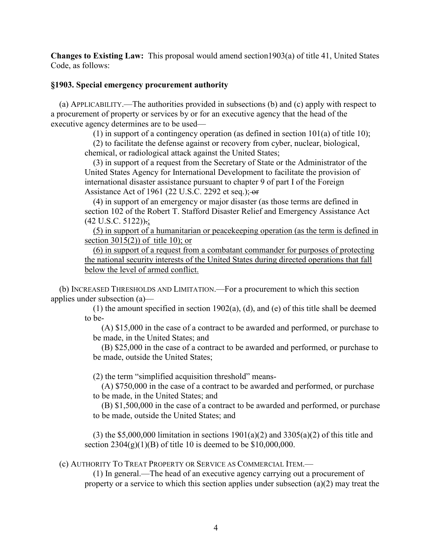**Changes to Existing Law:** This proposal would amend section1903(a) of title 41, United States Code, as follows:

#### **§1903. Special emergency procurement authority**

(a) APPLICABILITY.—The authorities provided in subsections (b) and (c) apply with respect to a procurement of property or services by or for an executive agency that the head of the executive agency determines are to be used—

(1) in support of a contingency operation (as defined in section 101(a) of title 10);

(2) to facilitate the defense against or recovery from cyber, nuclear, biological, chemical, or radiological attack against the United States;

(3) in support of a request from the Secretary of State or the Administrator of the United States Agency for International Development to facilitate the provision of international disaster assistance pursuant to chapter 9 of part I of the Foreign Assistance Act of 1961 (22 U.S.C. 2292 et seq.);  $-$ or

(4) in support of an emergency or major disaster (as those terms are defined in section 102 of the Robert T. Stafford Disaster Relief and Emergency Assistance Act (42 U.S.C. 5122)).;

(5) in support of a humanitarian or peacekeeping operation (as the term is defined in section 3015(2)) of title 10); or

(6) in support of a request from a combatant commander for purposes of protecting the national security interests of the United States during directed operations that fall below the level of armed conflict.

(b) INCREASED THRESHOLDS AND LIMITATION.—For a procurement to which this section applies under subsection (a)—

> (1) the amount specified in section 1902(a), (d), and (e) of this title shall be deemed to be-

(A) \$15,000 in the case of a contract to be awarded and performed, or purchase to be made, in the United States; and

(B) \$25,000 in the case of a contract to be awarded and performed, or purchase to be made, outside the United States;

(2) the term "simplified acquisition threshold" means-

(A) \$750,000 in the case of a contract to be awarded and performed, or purchase to be made, in the United States; and

(B) \$1,500,000 in the case of a contract to be awarded and performed, or purchase to be made, outside the United States; and

(3) the \$5,000,000 limitation in sections  $1901(a)(2)$  and  $3305(a)(2)$  of this title and section  $2304(g)(1)(B)$  of title 10 is deemed to be \$10,000,000.

(c) AUTHORITY TO TREAT PROPERTY OR SERVICE AS COMMERCIAL ITEM.—

(1) In general.—The head of an executive agency carrying out a procurement of property or a service to which this section applies under subsection (a)(2) may treat the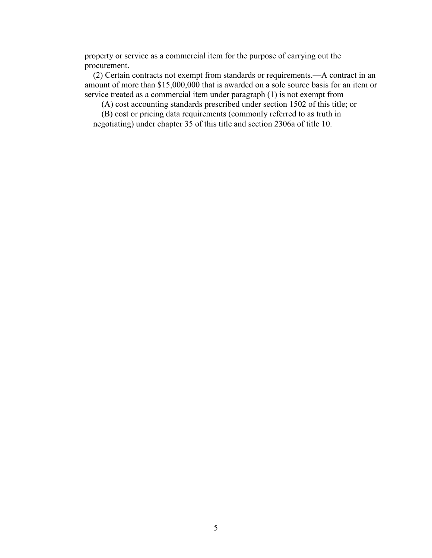property or service as a commercial item for the purpose of carrying out the procurement.

(2) Certain contracts not exempt from standards or requirements.—A contract in an amount of more than \$15,000,000 that is awarded on a sole source basis for an item or service treated as a commercial item under paragraph (1) is not exempt from—

(A) cost accounting standards prescribed under section 1502 of this title; or

(B) cost or pricing data requirements (commonly referred to as truth in negotiating) under chapter 35 of this title and section 2306a of title 10.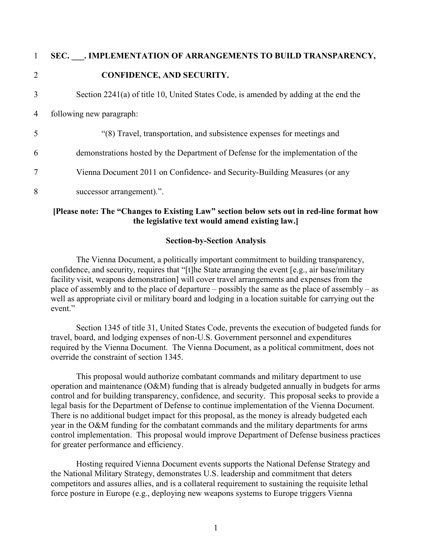|   | SEC. . IMPLEMENTATION OF ARRANGEMENTS TO BUILD TRANSPARENCY,                         |
|---|--------------------------------------------------------------------------------------|
| 2 | <b>CONFIDENCE, AND SECURITY.</b>                                                     |
| 3 | Section 2241(a) of title 10, United States Code, is amended by adding at the end the |
| 4 | following new paragraph:                                                             |
| 5 | "(8) Travel, transportation, and subsistence expenses for meetings and               |
| 6 | demonstrations hosted by the Department of Defense for the implementation of the     |
| 7 | Vienna Document 2011 on Confidence- and Security-Building Measures (or any           |
| 8 | successor arrangement).".                                                            |

#### **[Please note: The "Changes to Existing Law" section below sets out in red-line format how the legislative text would amend existing law.]**

#### **Section-by-Section Analysis**

The Vienna Document, a politically important commitment to building transparency, confidence, and security, requires that "[t]he State arranging the event [e.g., air base/military facility visit, weapons demonstration] will cover travel arrangements and expenses from the place of assembly and to the place of departure – possibly the same as the place of assembly – as well as appropriate civil or military board and lodging in a location suitable for carrying out the event."

Section 1345 of title 31, United States Code, prevents the execution of budgeted funds for travel, board, and lodging expenses of non-U.S. Government personnel and expenditures required by the Vienna Document. The Vienna Document, as a political commitment, does not override the constraint of section 1345.

This proposal would authorize combatant commands and military department to use operation and maintenance (O&M) funding that is already budgeted annually in budgets for arms control and for building transparency, confidence, and security. This proposal seeks to provide a legal basis for the Department of Defense to continue implementation of the Vienna Document. There is no additional budget impact for this proposal, as the money is already budgeted each year in the O&M funding for the combatant commands and the military departments for arms control implementation. This proposal would improve Department of Defense business practices for greater performance and efficiency.

Hosting required Vienna Document events supports the National Defense Strategy and the National Military Strategy, demonstrates U.S. leadership and commitment that deters competitors and assures allies, and is a collateral requirement to sustaining the requisite lethal force posture in Europe (e.g., deploying new weapons systems to Europe triggers Vienna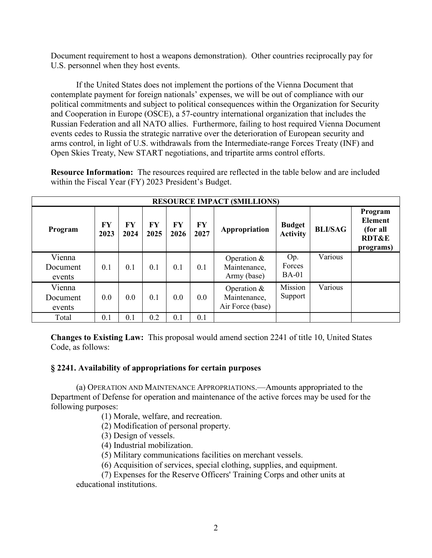Document requirement to host a weapons demonstration). Other countries reciprocally pay for U.S. personnel when they host events.

If the United States does not implement the portions of the Vienna Document that contemplate payment for foreign nationals' expenses, we will be out of compliance with our political commitments and subject to political consequences within the Organization for Security and Cooperation in Europe (OSCE), a 57-country international organization that includes the Russian Federation and all NATO allies. Furthermore, failing to host required Vienna Document events cedes to Russia the strategic narrative over the deterioration of European security and arms control, in light of U.S. withdrawals from the Intermediate-range Forces Treaty (INF) and Open Skies Treaty, New START negotiations, and tripartite arms control efforts.

**Resource Information:** The resources required are reflected in the table below and are included within the Fiscal Year (FY) 2023 President's Budget.

|                              | <b>RESOURCE IMPACT (SMILLIONS)</b> |            |            |            |                   |                                                   |                                  |                |                                                                        |
|------------------------------|------------------------------------|------------|------------|------------|-------------------|---------------------------------------------------|----------------------------------|----------------|------------------------------------------------------------------------|
| Program                      | FY<br>2023                         | FY<br>2024 | FY<br>2025 | FY<br>2026 | <b>FY</b><br>2027 | Appropriation                                     | <b>Budget</b><br><b>Activity</b> | <b>BLI/SAG</b> | Program<br><b>Element</b><br>(for all<br><b>RDT&amp;E</b><br>programs) |
| Vienna<br>Document<br>events | 0.1                                | 0.1        | 0.1        | 0.1        | 0.1               | Operation &<br>Maintenance,<br>Army (base)        | Op.<br>Forces<br>$BA-01$         | Various        |                                                                        |
| Vienna<br>Document<br>events | 0.0                                | 0.0        | 0.1        | 0.0        | 0.0               | Operation $&$<br>Maintenance,<br>Air Force (base) | Mission<br>Support               | Various        |                                                                        |
| Total                        | 0.1                                | 0.1        | 0.2        | 0.1        | 0.1               |                                                   |                                  |                |                                                                        |

**Changes to Existing Law:** This proposal would amend section 2241 of title 10, United States Code, as follows:

#### **§ 2241. Availability of appropriations for certain purposes**

(a) OPERATION AND MAINTENANCE APPROPRIATIONS.—Amounts appropriated to the Department of Defense for operation and maintenance of the active forces may be used for the following purposes:

- (1) Morale, welfare, and recreation.
- (2) Modification of personal property.
- (3) Design of vessels.
- (4) Industrial mobilization.
- (5) Military communications facilities on merchant vessels.
- (6) Acquisition of services, special clothing, supplies, and equipment.
- (7) Expenses for the Reserve Officers' Training Corps and other units at

educational institutions.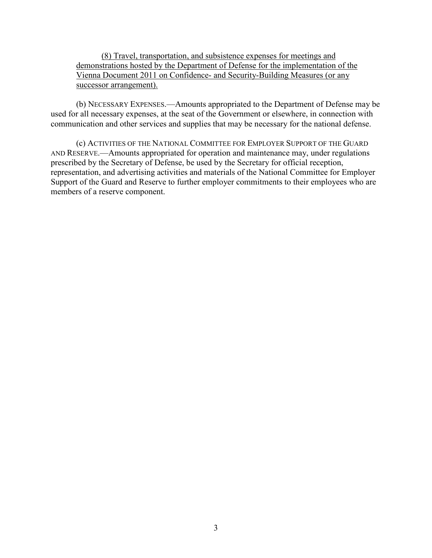(8) Travel, transportation, and subsistence expenses for meetings and demonstrations hosted by the Department of Defense for the implementation of the Vienna Document 2011 on Confidence- and Security-Building Measures (or any successor arrangement).

(b) NECESSARY EXPENSES.—Amounts appropriated to the Department of Defense may be used for all necessary expenses, at the seat of the Government or elsewhere, in connection with communication and other services and supplies that may be necessary for the national defense.

(c) ACTIVITIES OF THE NATIONAL COMMITTEE FOR EMPLOYER SUPPORT OF THE GUARD AND RESERVE.—Amounts appropriated for operation and maintenance may, under regulations prescribed by the Secretary of Defense, be used by the Secretary for official reception, representation, and advertising activities and materials of the National Committee for Employer Support of the Guard and Reserve to further employer commitments to their employees who are members of a reserve component.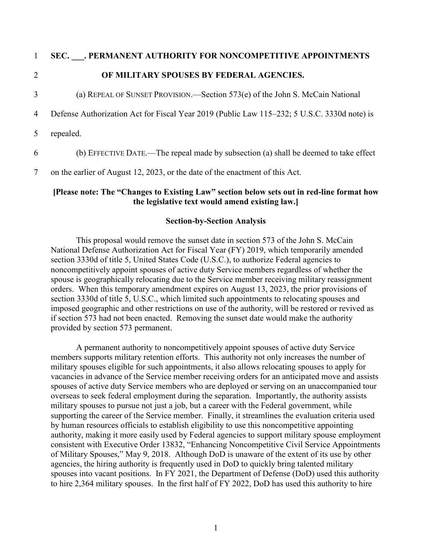#### 1 **SEC. \_\_\_. PERMANENT AUTHORITY FOR NONCOMPETITIVE APPOINTMENTS**

#### 2 **OF MILITARY SPOUSES BY FEDERAL AGENCIES.**

3 (a) REPEAL OF SUNSET PROVISION.—Section 573(e) of the John S. McCain National

4 Defense Authorization Act for Fiscal Year 2019 (Public Law 115–232; 5 U.S.C. 3330d note) is

5 repealed.

6 (b) EFFECTIVE DATE.—The repeal made by subsection (a) shall be deemed to take effect

7 on the earlier of August 12, 2023, or the date of the enactment of this Act.

#### **[Please note: The "Changes to Existing Law" section below sets out in red-line format how the legislative text would amend existing law.]**

#### **Section-by-Section Analysis**

This proposal would remove the sunset date in section 573 of the John S. McCain National Defense Authorization Act for Fiscal Year (FY) 2019, which temporarily amended section 3330d of title 5, United States Code (U.S.C.), to authorize Federal agencies to noncompetitively appoint spouses of active duty Service members regardless of whether the spouse is geographically relocating due to the Service member receiving military reassignment orders. When this temporary amendment expires on August 13, 2023, the prior provisions of section 3330d of title 5, U.S.C., which limited such appointments to relocating spouses and imposed geographic and other restrictions on use of the authority, will be restored or revived as if section 573 had not been enacted. Removing the sunset date would make the authority provided by section 573 permanent.

A permanent authority to noncompetitively appoint spouses of active duty Service members supports military retention efforts. This authority not only increases the number of military spouses eligible for such appointments, it also allows relocating spouses to apply for vacancies in advance of the Service member receiving orders for an anticipated move and assists spouses of active duty Service members who are deployed or serving on an unaccompanied tour overseas to seek federal employment during the separation. Importantly, the authority assists military spouses to pursue not just a job, but a career with the Federal government, while supporting the career of the Service member. Finally, it streamlines the evaluation criteria used by human resources officials to establish eligibility to use this noncompetitive appointing authority, making it more easily used by Federal agencies to support military spouse employment consistent with Executive Order 13832, "Enhancing Noncompetitive Civil Service Appointments of Military Spouses," May 9, 2018. Although DoD is unaware of the extent of its use by other agencies, the hiring authority is frequently used in DoD to quickly bring talented military spouses into vacant positions. In FY 2021, the Department of Defense (DoD) used this authority to hire 2,364 military spouses. In the first half of FY 2022, DoD has used this authority to hire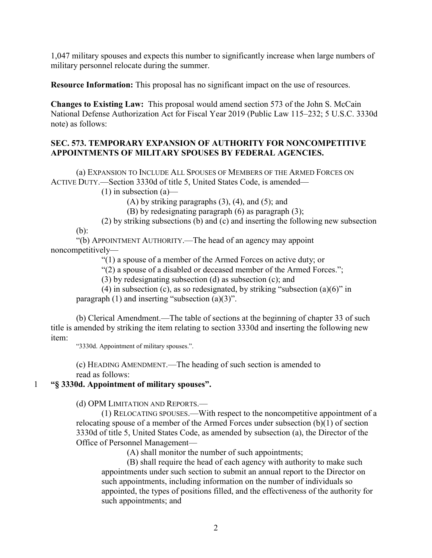1,047 military spouses and expects this number to significantly increase when large numbers of military personnel relocate during the summer.

**Resource Information:** This proposal has no significant impact on the use of resources.

**Changes to Existing Law:** This proposal would amend section 573 of the John S. McCain National Defense Authorization Act for Fiscal Year 2019 (Public Law 115–232; 5 U.S.C. 3330d note) as follows:

#### **SEC. 573. TEMPORARY EXPANSION OF AUTHORITY FOR NONCOMPETITIVE APPOINTMENTS OF MILITARY SPOUSES BY FEDERAL AGENCIES.**

(a) EXPANSION TO INCLUDE ALL SPOUSES OF MEMBERS OF THE ARMED FORCES ON ACTIVE DUTY.—Section 3330d of title 5, United States Code, is amended—

 $(1)$  in subsection  $(a)$ —

(A) by striking paragraphs  $(3)$ ,  $(4)$ , and  $(5)$ ; and

- (B) by redesignating paragraph (6) as paragraph (3);
- (2) by striking subsections (b) and (c) and inserting the following new subsection

(b):

"(b) APPOINTMENT AUTHORITY.—The head of an agency may appoint noncompetitively—

"(1) a spouse of a member of the Armed Forces on active duty; or

"(2) a spouse of a disabled or deceased member of the Armed Forces.";

(3) by redesignating subsection (d) as subsection (c); and

(4) in subsection (c), as so redesignated, by striking "subsection (a)(6)" in

paragraph  $(1)$  and inserting "subsection  $(a)(3)$ ".

(b) Clerical Amendment.—The table of sections at the beginning of chapter 33 of such title is amended by striking the item relating to section 3330d and inserting the following new item:

"3330d. Appointment of military spouses.".

(c) HEADING AMENDMENT.—The heading of such section is amended to read as follows:

1 **"§ 3330d. Appointment of military spouses".**

(d) OPM LIMITATION AND REPORTS.—

(1) RELOCATING SPOUSES.—With respect to the noncompetitive appointment of a relocating spouse of a member of the Armed Forces under subsection (b)(1) of section 3330d of title 5, United States Code, as amended by subsection (a), the Director of the Office of Personnel Management—

(A) shall monitor the number of such appointments;

(B) shall require the head of each agency with authority to make such appointments under such section to submit an annual report to the Director on such appointments, including information on the number of individuals so appointed, the types of positions filled, and the effectiveness of the authority for such appointments; and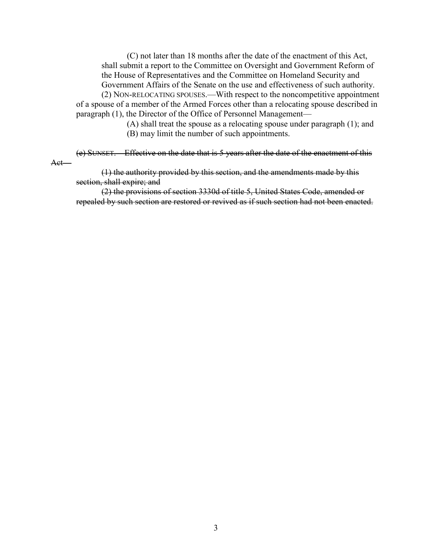(C) not later than 18 months after the date of the enactment of this Act, shall submit a report to the Committee on Oversight and Government Reform of the House of Representatives and the Committee on Homeland Security and Government Affairs of the Senate on the use and effectiveness of such authority.

(2) NON-RELOCATING SPOUSES.—With respect to the noncompetitive appointment of a spouse of a member of the Armed Forces other than a relocating spouse described in paragraph (1), the Director of the Office of Personnel Management—

> (A) shall treat the spouse as a relocating spouse under paragraph (1); and (B) may limit the number of such appointments.

(e) SUNSET.—Effective on the date that is 5 years after the date of the enactment of this Act—

(1) the authority provided by this section, and the amendments made by this section, shall expire; and

(2) the provisions of section 3330d of title 5, United States Code, amended or repealed by such section are restored or revived as if such section had not been enacted.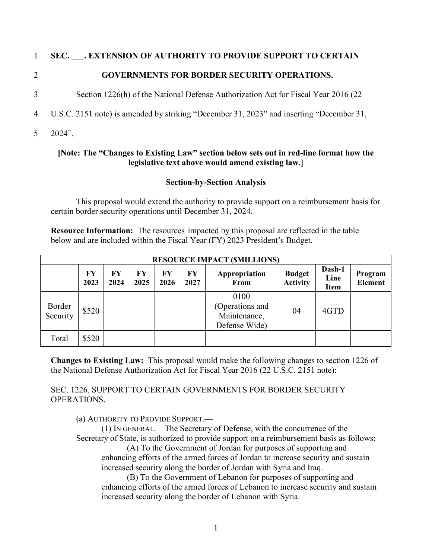#### 1 **SEC. \_\_\_. EXTENSION OF AUTHORITY TO PROVIDE SUPPORT TO CERTAIN**

## 2 **GOVERNMENTS FOR BORDER SECURITY OPERATIONS.**

- 3 Section 1226(h) of the National Defense Authorization Act for Fiscal Year 2016 (22
- 4 U.S.C. 2151 note) is amended by striking "December 31, 2023" and inserting "December 31,
- 5 2024".

#### **[Note: The "Changes to Existing Law" section below sets out in red-line format how the legislative text above would amend existing law.]**

### **Section-by-Section Analysis**

This proposal would extend the authority to provide support on a reimbursement basis for certain border security operations until December 31, 2024.

**Resource Information:** The resources impacted by this proposal are reflected in the table below and are included within the Fiscal Year (FY) 2023 President's Budget.

|                    | <b>RESOURCE IMPACT (SMILLIONS)</b> |            |            |            |            |                                                          |                                  |                               |                           |
|--------------------|------------------------------------|------------|------------|------------|------------|----------------------------------------------------------|----------------------------------|-------------------------------|---------------------------|
|                    | FY<br>2023                         | FY<br>2024 | FY<br>2025 | FY<br>2026 | FY<br>2027 | Appropriation<br>From                                    | <b>Budget</b><br><b>Activity</b> | Dash-1<br>Line<br><b>Item</b> | Program<br><b>Element</b> |
| Border<br>Security | \$520                              |            |            |            |            | 0100<br>(Operations and<br>Maintenance,<br>Defense Wide) | 04                               | 4GTD                          |                           |
| Total              | \$520                              |            |            |            |            |                                                          |                                  |                               |                           |

**Changes to Existing Law:** This proposal would make the following changes to section 1226 of the National Defense Authorization Act for Fiscal Year 2016 (22 U.S.C. 2151 note):

SEC. 1226. SUPPORT TO CERTAIN GOVERNMENTS FOR BORDER SECURITY OPERATIONS.

(a) AUTHORITY TO PROVIDE SUPPORT.—

(1) IN GENERAL.—The Secretary of Defense, with the concurrence of the Secretary of State, is authorized to provide support on a reimbursement basis as follows:

(A) To the Government of Jordan for purposes of supporting and enhancing efforts of the armed forces of Jordan to increase security and sustain increased security along the border of Jordan with Syria and Iraq.

(B) To the Government of Lebanon for purposes of supporting and enhancing efforts of the armed forces of Lebanon to increase security and sustain increased security along the border of Lebanon with Syria.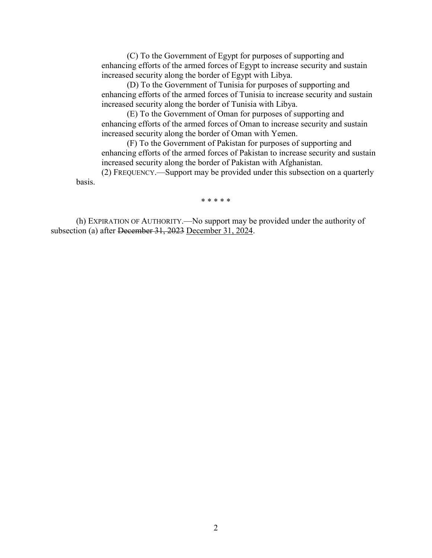(C) To the Government of Egypt for purposes of supporting and enhancing efforts of the armed forces of Egypt to increase security and sustain increased security along the border of Egypt with Libya.

(D) To the Government of Tunisia for purposes of supporting and enhancing efforts of the armed forces of Tunisia to increase security and sustain increased security along the border of Tunisia with Libya.

(E) To the Government of Oman for purposes of supporting and enhancing efforts of the armed forces of Oman to increase security and sustain increased security along the border of Oman with Yemen.

(F) To the Government of Pakistan for purposes of supporting and enhancing efforts of the armed forces of Pakistan to increase security and sustain increased security along the border of Pakistan with Afghanistan.

(2) FREQUENCY.—Support may be provided under this subsection on a quarterly basis.

\* \* \* \* \*

(h) EXPIRATION OF AUTHORITY.—No support may be provided under the authority of subsection (a) after December 31, 2023 December 31, 2024.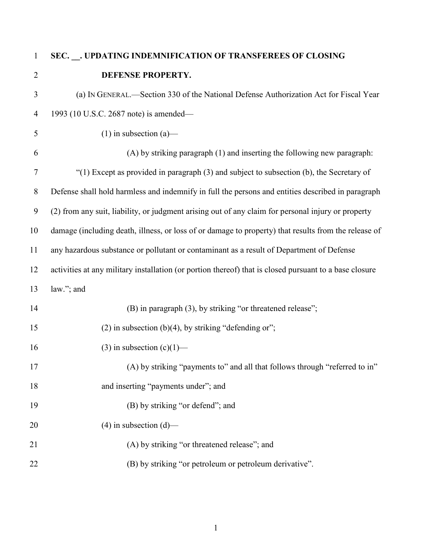# **SEC. \_\_. UPDATING INDEMNIFICATION OF TRANSFEREES OF CLOSING DEFENSE PROPERTY.**

| 3              | (a) IN GENERAL.—Section 330 of the National Defense Authorization Act for Fiscal Year                  |
|----------------|--------------------------------------------------------------------------------------------------------|
| $\overline{4}$ | 1993 (10 U.S.C. 2687 note) is amended-                                                                 |
| 5              | $(1)$ in subsection $(a)$ —                                                                            |
| 6              | (A) by striking paragraph (1) and inserting the following new paragraph:                               |
| $\tau$         | " $(1)$ Except as provided in paragraph $(3)$ and subject to subsection $(b)$ , the Secretary of       |
| 8              | Defense shall hold harmless and indemnify in full the persons and entities described in paragraph      |
| 9              | (2) from any suit, liability, or judgment arising out of any claim for personal injury or property     |
| 10             | damage (including death, illness, or loss of or damage to property) that results from the release of   |
| 11             | any hazardous substance or pollutant or contaminant as a result of Department of Defense               |
| 12             | activities at any military installation (or portion thereof) that is closed pursuant to a base closure |
| 13             | law."; and                                                                                             |
| 14             | (B) in paragraph (3), by striking "or threatened release";                                             |
| 15             | (2) in subsection (b)(4), by striking "defending or";                                                  |
| 16             | (3) in subsection $(c)(1)$ —                                                                           |
| 17             | (A) by striking "payments to" and all that follows through "referred to in"                            |
| 18             | and inserting "payments under"; and                                                                    |
| 19             | (B) by striking "or defend"; and                                                                       |
| 20             | $(4)$ in subsection $(d)$ —                                                                            |
| 21             | (A) by striking "or threatened release"; and                                                           |
| 22             | (B) by striking "or petroleum or petroleum derivative".                                                |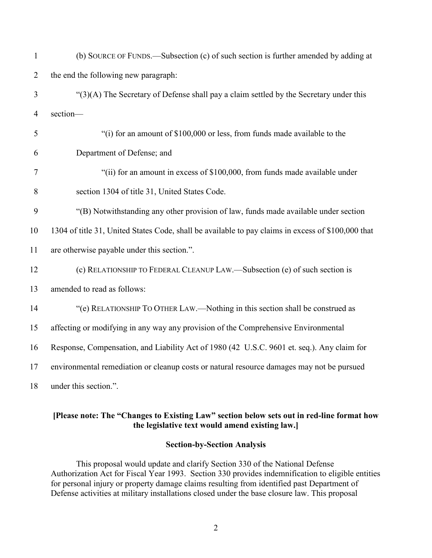| $\mathbf{1}$   | (b) SOURCE OF FUNDS.—Subsection (c) of such section is further amended by adding at                |
|----------------|----------------------------------------------------------------------------------------------------|
| $\overline{2}$ | the end the following new paragraph:                                                               |
| 3              | "(3)(A) The Secretary of Defense shall pay a claim settled by the Secretary under this             |
| $\overline{4}$ | section-                                                                                           |
| 5              | "(i) for an amount of \$100,000 or less, from funds made available to the                          |
| 6              | Department of Defense; and                                                                         |
| 7              | "(ii) for an amount in excess of \$100,000, from funds made available under                        |
| 8              | section 1304 of title 31, United States Code.                                                      |
| 9              | "(B) Notwithstanding any other provision of law, funds made available under section                |
| 10             | 1304 of title 31, United States Code, shall be available to pay claims in excess of \$100,000 that |
| 11             | are otherwise payable under this section.".                                                        |
| 12             | (c) RELATIONSHIP TO FEDERAL CLEANUP LAW.—Subsection (e) of such section is                         |
| 13             | amended to read as follows:                                                                        |
| 14             | "(e) RELATIONSHIP TO OTHER LAW.—Nothing in this section shall be construed as                      |
| 15             | affecting or modifying in any way any provision of the Comprehensive Environmental                 |
| 16             | Response, Compensation, and Liability Act of 1980 (42 U.S.C. 9601 et. seq.). Any claim for         |
| 17             | environmental remediation or cleanup costs or natural resource damages may not be pursued          |
| 18             | under this section.".                                                                              |

#### **[Please note: The "Changes to Existing Law" section below sets out in red-line format how the legislative text would amend existing law.]**

#### **Section-by-Section Analysis**

This proposal would update and clarify Section 330 of the National Defense Authorization Act for Fiscal Year 1993. Section 330 provides indemnification to eligible entities for personal injury or property damage claims resulting from identified past Department of Defense activities at military installations closed under the base closure law. This proposal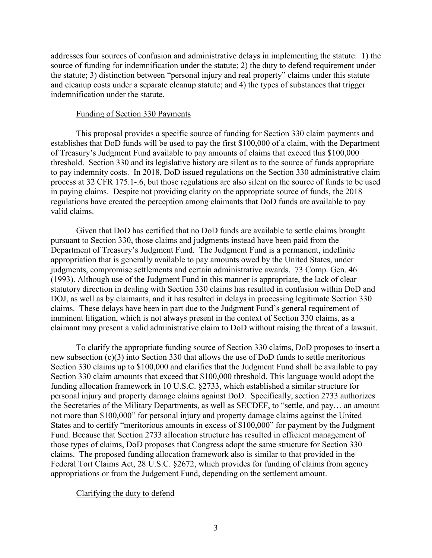addresses four sources of confusion and administrative delays in implementing the statute: 1) the source of funding for indemnification under the statute; 2) the duty to defend requirement under the statute; 3) distinction between "personal injury and real property" claims under this statute and cleanup costs under a separate cleanup statute; and 4) the types of substances that trigger indemnification under the statute.

#### Funding of Section 330 Payments

This proposal provides a specific source of funding for Section 330 claim payments and establishes that DoD funds will be used to pay the first \$100,000 of a claim, with the Department of Treasury's Judgment Fund available to pay amounts of claims that exceed this \$100,000 threshold. Section 330 and its legislative history are silent as to the source of funds appropriate to pay indemnity costs. In 2018, DoD issued regulations on the Section 330 administrative claim process at 32 CFR 175.1-.6, but those regulations are also silent on the source of funds to be used in paying claims. Despite not providing clarity on the appropriate source of funds, the 2018 regulations have created the perception among claimants that DoD funds are available to pay valid claims.

Given that DoD has certified that no DoD funds are available to settle claims brought pursuant to Section 330, those claims and judgments instead have been paid from the Department of Treasury's Judgment Fund. The Judgment Fund is a permanent, indefinite appropriation that is generally available to pay amounts owed by the United States, under judgments, compromise settlements and certain administrative awards. 73 Comp. Gen. 46 (1993). Although use of the Judgment Fund in this manner is appropriate, the lack of clear statutory direction in dealing with Section 330 claims has resulted in confusion within DoD and DOJ, as well as by claimants, and it has resulted in delays in processing legitimate Section 330 claims. These delays have been in part due to the Judgment Fund's general requirement of imminent litigation, which is not always present in the context of Section 330 claims, as a claimant may present a valid administrative claim to DoD without raising the threat of a lawsuit.

To clarify the appropriate funding source of Section 330 claims, DoD proposes to insert a new subsection (c)(3) into Section 330 that allows the use of DoD funds to settle meritorious Section 330 claims up to \$100,000 and clarifies that the Judgment Fund shall be available to pay Section 330 claim amounts that exceed that \$100,000 threshold. This language would adopt the funding allocation framework in 10 U.S.C. §2733, which established a similar structure for personal injury and property damage claims against DoD. Specifically, section 2733 authorizes the Secretaries of the Military Departments, as well as SECDEF, to "settle, and pay… an amount not more than \$100,000" for personal injury and property damage claims against the United States and to certify "meritorious amounts in excess of \$100,000" for payment by the Judgment Fund. Because that Section 2733 allocation structure has resulted in efficient management of those types of claims, DoD proposes that Congress adopt the same structure for Section 330 claims. The proposed funding allocation framework also is similar to that provided in the Federal Tort Claims Act, 28 U.S.C. §2672, which provides for funding of claims from agency appropriations or from the Judgement Fund, depending on the settlement amount.

#### Clarifying the duty to defend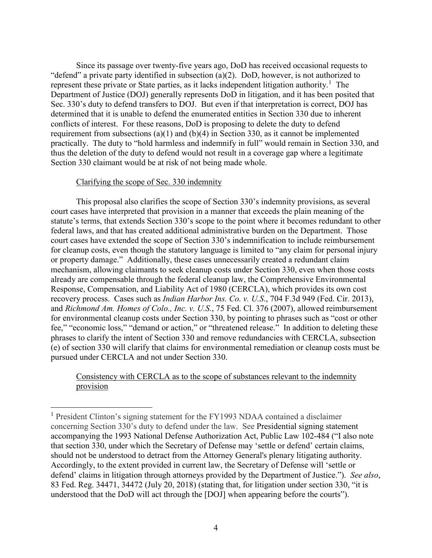Since its passage over twenty-five years ago, DoD has received occasional requests to "defend" a private party identified in subsection (a)(2). DoD, however, is not authorized to represent these private or State parties, as it lacks independent litigation authority.<sup>[1](#page-34-0)</sup> The Department of Justice (DOJ) generally represents DoD in litigation, and it has been posited that Sec. 330's duty to defend transfers to DOJ. But even if that interpretation is correct, DOJ has determined that it is unable to defend the enumerated entities in Section 330 due to inherent conflicts of interest. For these reasons, DoD is proposing to delete the duty to defend requirement from subsections (a)(1) and (b)(4) in Section 330, as it cannot be implemented practically. The duty to "hold harmless and indemnify in full" would remain in Section 330, and thus the deletion of the duty to defend would not result in a coverage gap where a legitimate Section 330 claimant would be at risk of not being made whole.

#### Clarifying the scope of Sec. 330 indemnity

This proposal also clarifies the scope of Section 330's indemnity provisions, as several court cases have interpreted that provision in a manner that exceeds the plain meaning of the statute's terms, that extends Section 330's scope to the point where it becomes redundant to other federal laws, and that has created additional administrative burden on the Department. Those court cases have extended the scope of Section 330's indemnification to include reimbursement for cleanup costs, even though the statutory language is limited to "any claim for personal injury or property damage." Additionally, these cases unnecessarily created a redundant claim mechanism, allowing claimants to seek cleanup costs under Section 330, even when those costs already are compensable through the federal cleanup law, the Comprehensive Environmental Response, Compensation, and Liability Act of 1980 (CERCLA), which provides its own cost recovery process. Cases such as *Indian Harbor Ins. Co. v. U.S*., 704 F.3d 949 (Fed. Cir. 2013), and *Richmond Am. Homes of Colo., Inc. v. U.S*., 75 Fed. Cl. 376 (2007), allowed reimbursement for environmental cleanup costs under Section 330, by pointing to phrases such as "cost or other fee," "economic loss," "demand or action," or "threatened release." In addition to deleting these phrases to clarify the intent of Section 330 and remove redundancies with CERCLA, subsection (e) of section 330 will clarify that claims for environmental remediation or cleanup costs must be pursued under CERCLA and not under Section 330.

Consistency with CERCLA as to the scope of substances relevant to the indemnity provision

<span id="page-34-0"></span> <sup>1</sup> President Clinton's signing statement for the FY1993 NDAA contained a disclaimer concerning Section 330's duty to defend under the law. See Presidential signing statement accompanying the 1993 National Defense Authorization Act, Public Law 102-484 ("I also note that section 330, under which the Secretary of Defense may 'settle or defend' certain claims, should not be understood to detract from the Attorney General's plenary litigating authority. Accordingly, to the extent provided in current law, the Secretary of Defense will 'settle or defend' claims in litigation through attorneys provided by the Department of Justice."). *See also*, 83 Fed. Reg. 34471, 34472 (July 20, 2018) (stating that, for litigation under section 330, "it is understood that the DoD will act through the [DOJ] when appearing before the courts").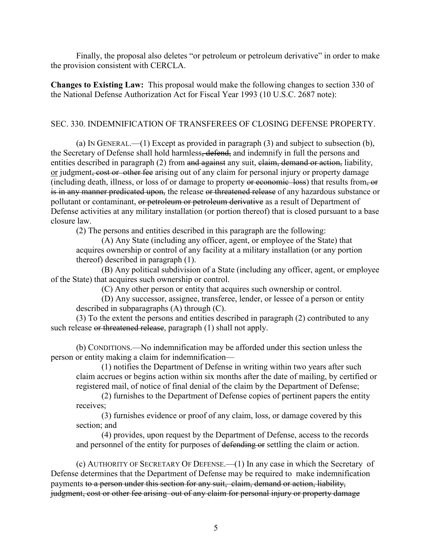Finally, the proposal also deletes "or petroleum or petroleum derivative" in order to make the provision consistent with CERCLA.

**Changes to Existing Law:** This proposal would make the following changes to section 330 of the National Defense Authorization Act for Fiscal Year 1993 (10 U.S.C. 2687 note):

#### SEC. 330. INDEMNIFICATION OF TRANSFEREES OF CLOSING DEFENSE PROPERTY.

(a) IN GENERAL.—(1) Except as provided in paragraph (3) and subject to subsection (b), the Secretary of Defense shall hold harmless, defend, and indemnify in full the persons and entities described in paragraph (2) from and against any suit, claim, demand or action, liability, or judgment, cost or other fee arising out of any claim for personal injury or property damage (including death, illness, or loss of or damage to property or economic loss) that results from, or is in any manner predicated upon, the release or threatened release of any hazardous substance or pollutant or contaminant, or petroleum or petroleum derivative as a result of Department of Defense activities at any military installation (or portion thereof) that is closed pursuant to a base closure law.

(2) The persons and entities described in this paragraph are the following:

(A) Any State (including any officer, agent, or employee of the State) that acquires ownership or control of any facility at a military installation (or any portion thereof) described in paragraph (1).

(B) Any political subdivision of a State (including any officer, agent, or employee of the State) that acquires such ownership or control.

(C) Any other person or entity that acquires such ownership or control.

(D) Any successor, assignee, transferee, lender, or lessee of a person or entity described in subparagraphs (A) through (C).

(3) To the extent the persons and entities described in paragraph (2) contributed to any such release or threatened release, paragraph (1) shall not apply.

(b) CONDITIONS.—No indemnification may be afforded under this section unless the person or entity making a claim for indemnification—

(1) notifies the Department of Defense in writing within two years after such claim accrues or begins action within six months after the date of mailing, by certified or registered mail, of notice of final denial of the claim by the Department of Defense;

(2) furnishes to the Department of Defense copies of pertinent papers the entity receives;

(3) furnishes evidence or proof of any claim, loss, or damage covered by this section; and

(4) provides, upon request by the Department of Defense, access to the records and personnel of the entity for purposes of defending or settling the claim or action.

(c) AUTHORITY OF SECRETARY OF DEFENSE.—(1) In any case in which the Secretary of Defense determines that the Department of Defense may be required to make indemnification payments to a person under this section for any suit, claim, demand or action, liability, judgment, cost or other fee arising out of any claim for personal injury or property damage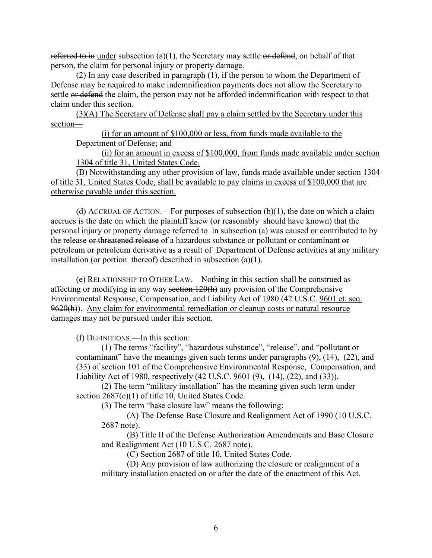referred to in under subsection (a)(1), the Secretary may settle or defend, on behalf of that person, the claim for personal injury or property damage.

(2) In any case described in paragraph (1), if the person to whom the Department of Defense may be required to make indemnification payments does not allow the Secretary to settle or defend the claim, the person may not be afforded indemnification with respect to that claim under this section.

(3)(A) The Secretary of Defense shall pay a claim settled by the Secretary under this section—

(i) for an amount of \$100,000 or less, from funds made available to the Department of Defense; and

(ii) for an amount in excess of \$100,000, from funds made available under section 1304 of title 31, United States Code.

(B) Notwithstanding any other provision of law, funds made available under section 1304 of title 31, United States Code, shall be available to pay claims in excess of \$100,000 that are otherwise payable under this section.

(d) ACCRUAL OF ACTION.—For purposes of subsection  $(b)(1)$ , the date on which a claim accrues is the date on which the plaintiff knew (or reasonably should have known) that the personal injury or property damage referred to in subsection (a) was caused or contributed to by the release or threatened release of a hazardous substance or pollutant or contaminant or petroleum or petroleum derivative as a result of Department of Defense activities at any military installation (or portion thereof) described in subsection (a)(1).

(e) RELATIONSHIP TO OTHER LAW.—Nothing in this section shall be construed as affecting or modifying in any way section 120(h) any provision of the Comprehensive Environmental Response, Compensation, and Liability Act of 1980 (42 U.S.C. 9601 et. seq. 9620(h)). Any claim for environmental remediation or cleanup costs or natural resource damages may not be pursued under this section.

(f) DEFINITIONS.—In this section:

(1) The terms "facility", "hazardous substance", "release", and "pollutant or contaminant" have the meanings given such terms under paragraphs (9), (14), (22), and (33) of section 101 of the Comprehensive Environmental Response, Compensation, and Liability Act of 1980, respectively (42 U.S.C. 9601 (9), (14), (22), and (33)).

(2) The term "military installation" has the meaning given such term under section 2687(e)(1) of title 10, United States Code.

(3) The term "base closure law" means the following:

(A) The Defense Base Closure and Realignment Act of 1990 (10 U.S.C. 2687 note).

(B) Title II of the Defense Authorization Amendments and Base Closure and Realignment Act (10 U.S.C. 2687 note).

(C) Section 2687 of title 10, United States Code.

(D) Any provision of law authorizing the closure or realignment of a military installation enacted on or after the date of the enactment of this Act.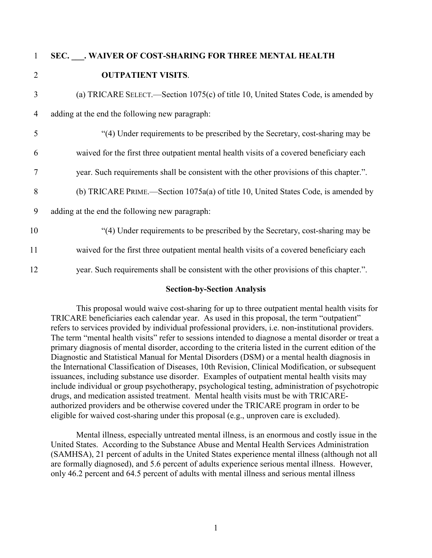## 1 **SEC. \_\_\_. WAIVER OF COST-SHARING FOR THREE MENTAL HEALTH**  2 **OUTPATIENT VISITS**.

- 3 (a) TRICARE SELECT.—Section 1075(c) of title 10, United States Code, is amended by 4 adding at the end the following new paragraph: 5 "(4) Under requirements to be prescribed by the Secretary, cost-sharing may be 6 waived for the first three outpatient mental health visits of a covered beneficiary each 7 year. Such requirements shall be consistent with the other provisions of this chapter.". 8 (b) TRICARE PRIME.—Section 1075a(a) of title 10, United States Code, is amended by 9 adding at the end the following new paragraph:
- 10 "(4) Under requirements to be prescribed by the Secretary, cost-sharing may be 11 waived for the first three outpatient mental health visits of a covered beneficiary each 12 year. Such requirements shall be consistent with the other provisions of this chapter.".

#### **Section-by-Section Analysis**

This proposal would waive cost-sharing for up to three outpatient mental health visits for TRICARE beneficiaries each calendar year. As used in this proposal, the term "outpatient" refers to services provided by individual professional providers, i.e. non-institutional providers. The term "mental health visits" refer to sessions intended to diagnose a mental disorder or treat a primary diagnosis of mental disorder, according to the criteria listed in the current edition of the Diagnostic and Statistical Manual for Mental Disorders (DSM) or a mental health diagnosis in the International Classification of Diseases, 10th Revision, Clinical Modification, or subsequent issuances, including substance use disorder. Examples of outpatient mental health visits may include individual or group psychotherapy, psychological testing, administration of psychotropic drugs, and medication assisted treatment. Mental health visits must be with TRICAREauthorized providers and be otherwise covered under the TRICARE program in order to be eligible for waived cost-sharing under this proposal (e.g., unproven care is excluded).

Mental illness, especially untreated mental illness, is an enormous and costly issue in the United States. According to the Substance Abuse and Mental Health Services Administration (SAMHSA), 21 percent of adults in the United States experience mental illness (although not all are formally diagnosed), and 5.6 percent of adults experience serious mental illness. However, only 46.2 percent and 64.5 percent of adults with mental illness and serious mental illness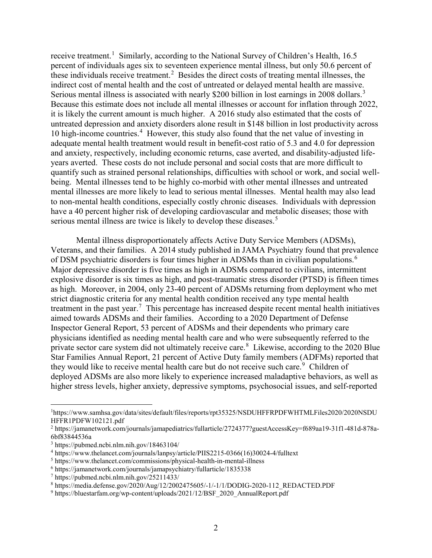receive treatment.<sup>[1](#page-38-0)</sup> Similarly, according to the National Survey of Children's Health, 16.5 percent of individuals ages six to seventeen experience mental illness, but only 50.6 percent of these individuals receive treatment.<sup>[2](#page-38-1)</sup> Besides the direct costs of treating mental illnesses, the indirect cost of mental health and the cost of untreated or delayed mental health are massive. Serious mental illness is associated with nearly \$200 billion in lost earnings in 2008 dollars.<sup>[3](#page-38-2)</sup> Because this estimate does not include all mental illnesses or account for inflation through 2022, it is likely the current amount is much higher. A 2016 study also estimated that the costs of untreated depression and anxiety disorders alone result in \$148 billion in lost productivity across 10 high-income countries. [4](#page-38-3) However, this study also found that the net value of investing in adequate mental health treatment would result in benefit-cost ratio of 5.3 and 4.0 for depression and anxiety, respectively, including economic returns, case averted, and disability-adjusted lifeyears averted. These costs do not include personal and social costs that are more difficult to quantify such as strained personal relationships, difficulties with school or work, and social wellbeing. Mental illnesses tend to be highly co-morbid with other mental illnesses and untreated mental illnesses are more likely to lead to serious mental illnesses. Mental health may also lead to non-mental health conditions, especially costly chronic diseases. Individuals with depression have a 40 percent higher risk of developing cardiovascular and metabolic diseases; those with serious mental illness are twice is likely to develop these diseases.<sup>[5](#page-38-4)</sup>

Mental illness disproportionately affects Active Duty Service Members (ADSMs), Veterans, and their families. A 2014 study published in JAMA Psychiatry found that prevalence of DSM psychiatric disorders is four times higher in ADSMs than in civilian populations.<sup>[6](#page-38-5)</sup> Major depressive disorder is five times as high in ADSMs compared to civilians, intermittent explosive disorder is six times as high, and post-traumatic stress disorder (PTSD) is fifteen times as high. Moreover, in 2004, only 23-40 percent of ADSMs returning from deployment who met strict diagnostic criteria for any mental health condition received any type mental health treatment in the past year.<sup>[7](#page-38-6)</sup> This percentage has increased despite recent mental health initiatives aimed towards ADSMs and their families. According to a 2020 Department of Defense Inspector General Report, 53 percent of ADSMs and their dependents who primary care physicians identified as needing mental health care and who were subsequently referred to the private sector care system did not ultimately receive care.<sup>[8](#page-38-7)</sup> Likewise, according to the 2020 Blue Star Families Annual Report, 21 percent of Active Duty family members (ADFMs) reported that they would like to receive mental health care but do not receive such care.<sup>[9](#page-38-8)</sup> Children of deployed ADSMs are also more likely to experience increased maladaptive behaviors, as well as higher stress levels, higher anxiety, depressive symptoms, psychosocial issues, and self-reported

<span id="page-38-0"></span> $\frac{1}{1}$ https://www.samhsa.gov/data/sites/default/files/reports/rpt35325/NSDUHFFRPDFWHTMLFiles2020/2020NSDU HFFR1PDFW102121.pdf

<span id="page-38-1"></span><sup>2</sup> https://jamanetwork.com/journals/jamapediatrics/fullarticle/2724377?guestAccessKey=f689aa19-31f1-481d-878a-6bf83844536a

<span id="page-38-2"></span><sup>3</sup> https://pubmed.ncbi.nlm.nih.gov/18463104/

<span id="page-38-3"></span><sup>4</sup> https://www.thelancet.com/journals/lanpsy/article/PIIS2215-0366(16)30024-4/fulltext

<span id="page-38-4"></span><sup>5</sup> https://www.thelancet.com/commissions/physical-health-in-mental-illness

<span id="page-38-5"></span><sup>6</sup> https://jamanetwork.com/journals/jamapsychiatry/fullarticle/1835338

<span id="page-38-6"></span><sup>7</sup> https://pubmed.ncbi.nlm.nih.gov/25211433/

<span id="page-38-7"></span><sup>8</sup> https://media.defense.gov/2020/Aug/12/2002475605/-1/-1/1/DODIG-2020-112\_REDACTED.PDF

<span id="page-38-8"></span><sup>&</sup>lt;sup>9</sup> https://bluestarfam.org/wp-content/uploads/2021/12/BSF\_2020\_AnnualReport.pdf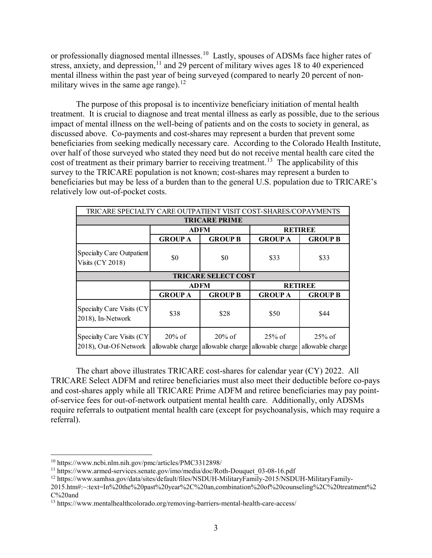or professionally diagnosed mental illnesses.<sup>10</sup> Lastly, spouses of ADSMs face higher rates of stress, anxiety, and depression,<sup>[11](#page-39-1)</sup> and 29 percent of military wives ages 18 to 40 experienced mental illness within the past year of being surveyed (compared to nearly 20 percent of non-military wives in the same age range).<sup>[12](#page-39-2)</sup>

The purpose of this proposal is to incentivize beneficiary initiation of mental health treatment. It is crucial to diagnose and treat mental illness as early as possible, due to the serious impact of mental illness on the well-being of patients and on the costs to society in general, as discussed above. Co-payments and cost-shares may represent a burden that prevent some beneficiaries from seeking medically necessary care. According to the Colorado Health Institute, over half of those surveyed who stated they need but do not receive mental health care cited the cost of treatment as their primary barrier to receiving treatment.<sup>13</sup> The applicability of this survey to the TRICARE population is not known; cost-shares may represent a burden to beneficiaries but may be less of a burden than to the general U.S. population due to TRICARE's relatively low out-of-pocket costs.

| TRICARE SPECIALTY CARE OUTPATIENT VISIT COST-SHARES/COPAYMENTS |                |                |                |                |  |  |  |  |  |  |
|----------------------------------------------------------------|----------------|----------------|----------------|----------------|--|--|--|--|--|--|
| <b>TRICARE PRIME</b>                                           |                |                |                |                |  |  |  |  |  |  |
|                                                                | <b>ADFM</b>    |                | <b>RETIREE</b> |                |  |  |  |  |  |  |
|                                                                | <b>GROUP A</b> | <b>GROUP B</b> | <b>GROUP A</b> | <b>GROUP B</b> |  |  |  |  |  |  |
| Specialty Care Outpatient<br><b>Visits (CY 2018)</b>           | \$0            | \$0            |                | \$33           |  |  |  |  |  |  |
| <b>TRICARE SELECT COST</b>                                     |                |                |                |                |  |  |  |  |  |  |
|                                                                | <b>ADFM</b>    |                | <b>RETIREE</b> |                |  |  |  |  |  |  |
|                                                                |                |                |                |                |  |  |  |  |  |  |
|                                                                | <b>GROUP A</b> | <b>GROUP B</b> | <b>GROUP A</b> | <b>GROUP B</b> |  |  |  |  |  |  |
| Specialty Care Visits (CY)<br>2018), In-Network                | \$38           | \$28           | \$50           | \$44           |  |  |  |  |  |  |

The chart above illustrates TRICARE cost-shares for calendar year (CY) 2022. All TRICARE Select ADFM and retiree beneficiaries must also meet their deductible before co-pays and cost-shares apply while all TRICARE Prime ADFM and retiree beneficiaries may pay pointof-service fees for out-of-network outpatient mental health care. Additionally, only ADSMs require referrals to outpatient mental health care (except for psychoanalysis, which may require a referral).

<span id="page-39-0"></span> <sup>10</sup> https://www.ncbi.nlm.nih.gov/pmc/articles/PMC3312898/

<span id="page-39-1"></span><sup>&</sup>lt;sup>11</sup> https://www.armed-services.senate.gov/imo/media/doc/Roth-Douquet 03-08-16.pdf

<span id="page-39-2"></span><sup>12</sup> https://www.samhsa.gov/data/sites/default/files/NSDUH-MilitaryFamily-2015/NSDUH-MilitaryFamily-

<sup>2015.</sup>htm#:~:text=In%20the%20past%20year%2C%20an,combination%20of%20counseling%2C%20treatment%2 C%20and

<span id="page-39-3"></span><sup>13</sup> https://www.mentalhealthcolorado.org/removing-barriers-mental-health-care-access/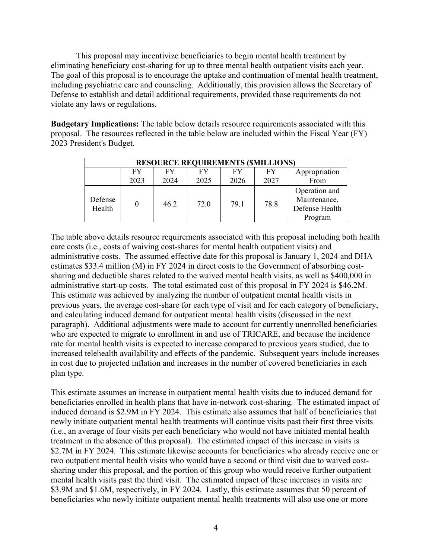This proposal may incentivize beneficiaries to begin mental health treatment by eliminating beneficiary cost-sharing for up to three mental health outpatient visits each year. The goal of this proposal is to encourage the uptake and continuation of mental health treatment, including psychiatric care and counseling. Additionally, this provision allows the Secretary of Defense to establish and detail additional requirements, provided those requirements do not violate any laws or regulations.

**Budgetary Implications:** The table below details resource requirements associated with this proposal. The resources reflected in the table below are included within the Fiscal Year (FY) 2023 President's Budget.

| <b>RESOURCE REQUIREMENTS (\$MILLIONS)</b> |            |            |            |            |            |                                                            |  |  |  |
|-------------------------------------------|------------|------------|------------|------------|------------|------------------------------------------------------------|--|--|--|
|                                           | FY<br>2023 | FY<br>2024 | FY<br>2025 | FY<br>2026 | FY<br>2027 | Appropriation<br>From                                      |  |  |  |
| Defense<br>Health                         |            | 46.2       | 72.0       | 79.1       | 78.8       | Operation and<br>Maintenance,<br>Defense Health<br>Program |  |  |  |

The table above details resource requirements associated with this proposal including both health care costs (i.e., costs of waiving cost-shares for mental health outpatient visits) and administrative costs. The assumed effective date for this proposal is January 1, 2024 and DHA estimates \$33.4 million (M) in FY 2024 in direct costs to the Government of absorbing costsharing and deductible shares related to the waived mental health visits, as well as \$400,000 in administrative start-up costs. The total estimated cost of this proposal in FY 2024 is \$46.2M. This estimate was achieved by analyzing the number of outpatient mental health visits in previous years, the average cost-share for each type of visit and for each category of beneficiary, and calculating induced demand for outpatient mental health visits (discussed in the next paragraph). Additional adjustments were made to account for currently unenrolled beneficiaries who are expected to migrate to enrollment in and use of TRICARE, and because the incidence rate for mental health visits is expected to increase compared to previous years studied, due to increased telehealth availability and effects of the pandemic. Subsequent years include increases in cost due to projected inflation and increases in the number of covered beneficiaries in each plan type.

This estimate assumes an increase in outpatient mental health visits due to induced demand for beneficiaries enrolled in health plans that have in-network cost-sharing. The estimated impact of induced demand is \$2.9M in FY 2024. This estimate also assumes that half of beneficiaries that newly initiate outpatient mental health treatments will continue visits past their first three visits (i.e., an average of four visits per each beneficiary who would not have initiated mental health treatment in the absence of this proposal). The estimated impact of this increase in visits is \$2.7M in FY 2024. This estimate likewise accounts for beneficiaries who already receive one or two outpatient mental health visits who would have a second or third visit due to waived costsharing under this proposal, and the portion of this group who would receive further outpatient mental health visits past the third visit. The estimated impact of these increases in visits are \$3.9M and \$1.6M, respectively, in FY 2024. Lastly, this estimate assumes that 50 percent of beneficiaries who newly initiate outpatient mental health treatments will also use one or more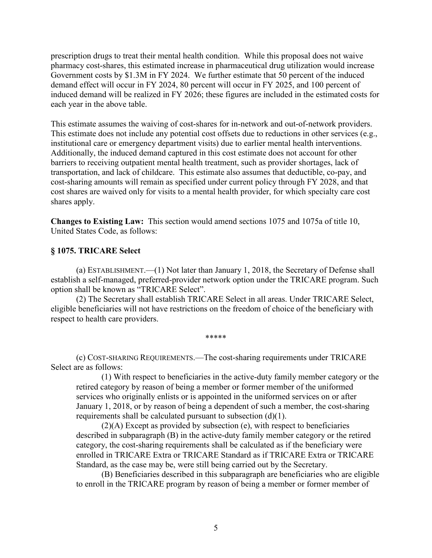prescription drugs to treat their mental health condition. While this proposal does not waive pharmacy cost-shares, this estimated increase in pharmaceutical drug utilization would increase Government costs by \$1.3M in FY 2024. We further estimate that 50 percent of the induced demand effect will occur in FY 2024, 80 percent will occur in FY 2025, and 100 percent of induced demand will be realized in FY 2026; these figures are included in the estimated costs for each year in the above table.

This estimate assumes the waiving of cost-shares for in-network and out-of-network providers. This estimate does not include any potential cost offsets due to reductions in other services (e.g., institutional care or emergency department visits) due to earlier mental health interventions. Additionally, the induced demand captured in this cost estimate does not account for other barriers to receiving outpatient mental health treatment, such as provider shortages, lack of transportation, and lack of childcare. This estimate also assumes that deductible, co-pay, and cost-sharing amounts will remain as specified under current policy through FY 2028, and that cost shares are waived only for visits to a mental health provider, for which specialty care cost shares apply.

**Changes to Existing Law:** This section would amend sections 1075 and 1075a of title 10, United States Code, as follows:

#### **§ 1075. TRICARE Select**

(a) ESTABLISHMENT.—(1) Not later than January 1, 2018, the Secretary of Defense shall establish a self-managed, preferred-provider network option under the TRICARE program. Such option shall be known as "TRICARE Select".

(2) The Secretary shall establish TRICARE Select in all areas. Under TRICARE Select, eligible beneficiaries will not have restrictions on the freedom of choice of the beneficiary with respect to health care providers.

\*\*\*\*\*

(c) COST-SHARING REQUIREMENTS.—The cost-sharing requirements under TRICARE Select are as follows:

(1) With respect to beneficiaries in the active-duty family member category or the retired category by reason of being a member or former member of the uniformed services who originally enlists or is appointed in the uniformed services on or after January 1, 2018, or by reason of being a dependent of such a member, the cost-sharing requirements shall be calculated pursuant to subsection (d)(1).

(2)(A) Except as provided by subsection (e), with respect to beneficiaries described in subparagraph (B) in the active-duty family member category or the retired category, the cost-sharing requirements shall be calculated as if the beneficiary were enrolled in TRICARE Extra or TRICARE Standard as if TRICARE Extra or TRICARE Standard, as the case may be, were still being carried out by the Secretary.

(B) Beneficiaries described in this subparagraph are beneficiaries who are eligible to enroll in the TRICARE program by reason of being a member or former member of